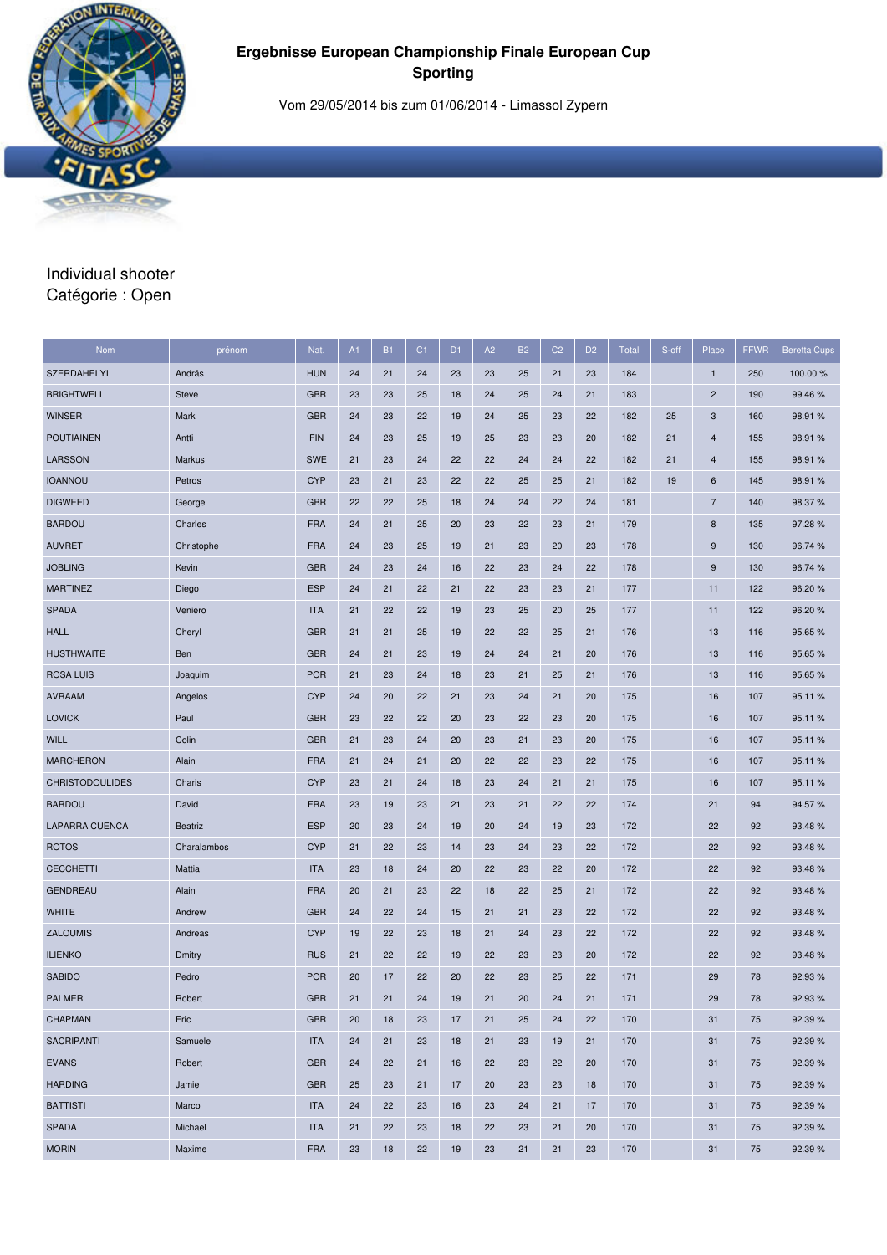

Vom 29/05/2014 bis zum 01/06/2014 - Limassol Zypern

# Individual shooter Catégorie : Open

| Nom                    | prénom         | Nat.       | A1 | <b>B1</b> | C <sub>1</sub> | D <sub>1</sub> | A <sub>2</sub> | <b>B2</b> | C <sub>2</sub> | D <sub>2</sub> | <b>Total</b> | S-off | Place                   | <b>FFWR</b> | <b>Beretta Cups</b> |
|------------------------|----------------|------------|----|-----------|----------------|----------------|----------------|-----------|----------------|----------------|--------------|-------|-------------------------|-------------|---------------------|
| <b>SZERDAHELYI</b>     | András         | <b>HUN</b> | 24 | 21        | 24             | 23             | 23             | 25        | 21             | 23             | 184          |       | $\mathbf{1}$            | 250         | 100.00 %            |
| <b>BRIGHTWELL</b>      | <b>Steve</b>   | <b>GBR</b> | 23 | 23        | 25             | 18             | 24             | 25        | 24             | 21             | 183          |       | $\overline{\mathbf{c}}$ | 190         | 99.46%              |
| <b>WINSER</b>          | Mark           | <b>GBR</b> | 24 | 23        | 22             | 19             | 24             | 25        | 23             | 22             | 182          | 25    | 3                       | 160         | 98.91 %             |
| <b>POUTIAINEN</b>      | Antti          | <b>FIN</b> | 24 | 23        | 25             | 19             | 25             | 23        | 23             | 20             | 182          | 21    | $\overline{4}$          | 155         | 98.91 %             |
| <b>LARSSON</b>         | Markus         | <b>SWE</b> | 21 | 23        | 24             | 22             | 22             | 24        | 24             | 22             | 182          | 21    | 4                       | 155         | 98.91 %             |
| <b>IOANNOU</b>         | Petros         | <b>CYP</b> | 23 | 21        | 23             | 22             | 22             | 25        | 25             | 21             | 182          | 19    | 6                       | 145         | 98.91%              |
| <b>DIGWEED</b>         | George         | <b>GBR</b> | 22 | 22        | 25             | 18             | 24             | 24        | 22             | 24             | 181          |       | $\overline{7}$          | 140         | 98.37 %             |
| <b>BARDOU</b>          | Charles        | <b>FRA</b> | 24 | 21        | 25             | 20             | 23             | 22        | 23             | 21             | 179          |       | 8                       | 135         | 97.28 %             |
| <b>AUVRET</b>          | Christophe     | <b>FRA</b> | 24 | 23        | 25             | 19             | 21             | 23        | 20             | 23             | 178          |       | 9                       | 130         | 96.74 %             |
| <b>JOBLING</b>         | Kevin          | <b>GBR</b> | 24 | 23        | 24             | 16             | 22             | 23        | 24             | 22             | 178          |       | 9                       | 130         | 96.74 %             |
| <b>MARTINEZ</b>        | Diego          | <b>ESP</b> | 24 | 21        | 22             | 21             | 22             | 23        | 23             | 21             | 177          |       | 11                      | 122         | 96.20%              |
| <b>SPADA</b>           | Veniero        | <b>ITA</b> | 21 | 22        | 22             | 19             | 23             | 25        | 20             | 25             | 177          |       | 11                      | 122         | 96.20%              |
| <b>HALL</b>            | Cheryl         | <b>GBR</b> | 21 | 21        | 25             | 19             | 22             | 22        | 25             | 21             | 176          |       | 13                      | 116         | 95.65%              |
| <b>HUSTHWAITE</b>      | Ben            | <b>GBR</b> | 24 | 21        | 23             | 19             | 24             | 24        | 21             | 20             | 176          |       | 13                      | 116         | 95.65%              |
| <b>ROSA LUIS</b>       | Joaquim        | <b>POR</b> | 21 | 23        | 24             | 18             | 23             | 21        | 25             | 21             | 176          |       | 13                      | 116         | 95.65 %             |
| <b>AVRAAM</b>          | Angelos        | <b>CYP</b> | 24 | 20        | 22             | 21             | 23             | 24        | 21             | 20             | 175          |       | 16                      | 107         | 95.11%              |
| <b>LOVICK</b>          | Paul           | <b>GBR</b> | 23 | 22        | 22             | 20             | 23             | 22        | 23             | 20             | 175          |       | 16                      | 107         | 95.11 %             |
| <b>WILL</b>            | Colin          | <b>GBR</b> | 21 | 23        | 24             | 20             | 23             | 21        | 23             | 20             | 175          |       | 16                      | 107         | 95.11 %             |
| <b>MARCHERON</b>       | Alain          | <b>FRA</b> | 21 | 24        | 21             | 20             | 22             | 22        | 23             | 22             | 175          |       | 16                      | 107         | 95.11 %             |
| <b>CHRISTODOULIDES</b> | Charis         | <b>CYP</b> | 23 | 21        | 24             | 18             | 23             | 24        | 21             | 21             | 175          |       | 16                      | 107         | 95.11 %             |
| <b>BARDOU</b>          | David          | <b>FRA</b> | 23 | 19        | 23             | 21             | 23             | 21        | 22             | 22             | 174          |       | 21                      | 94          | 94.57 %             |
| <b>LAPARRA CUENCA</b>  | <b>Beatriz</b> | <b>ESP</b> | 20 | 23        | 24             | 19             | 20             | 24        | 19             | 23             | 172          |       | 22                      | 92          | 93.48%              |
| <b>ROTOS</b>           | Charalambos    | <b>CYP</b> | 21 | 22        | 23             | 14             | 23             | 24        | 23             | 22             | 172          |       | 22                      | 92          | 93.48%              |
| <b>CECCHETTI</b>       | Mattia         | <b>ITA</b> | 23 | 18        | 24             | 20             | 22             | 23        | 22             | 20             | 172          |       | 22                      | 92          | 93.48%              |
| <b>GENDREAU</b>        | Alain          | <b>FRA</b> | 20 | 21        | 23             | 22             | 18             | 22        | 25             | 21             | 172          |       | 22                      | 92          | 93.48%              |
| <b>WHITE</b>           | Andrew         | <b>GBR</b> | 24 | 22        | 24             | 15             | 21             | 21        | 23             | 22             | 172          |       | 22                      | 92          | 93.48%              |
| <b>ZALOUMIS</b>        | Andreas        | <b>CYP</b> | 19 | 22        | 23             | 18             | 21             | 24        | 23             | 22             | 172          |       | 22                      | 92          | 93.48%              |
| <b>ILIENKO</b>         | Dmitry         | <b>RUS</b> | 21 | 22        | 22             | 19             | 22             | 23        | 23             | 20             | 172          |       | 22                      | 92          | 93.48%              |
| <b>SABIDO</b>          | Pedro          | <b>POR</b> | 20 | 17        | 22             | 20             | 22             | 23        | 25             | 22             | 171          |       | 29                      | 78          | 92.93%              |
| <b>PALMER</b>          | Robert         | <b>GBR</b> | 21 | 21        | 24             | 19             | 21             | 20        | 24             | 21             | 171          |       | 29                      | 78          | 92.93%              |
| <b>CHAPMAN</b>         | Eric           | <b>GBR</b> | 20 | 18        | 23             | 17             | 21             | 25        | 24             | 22             | 170          |       | 31                      | 75          | 92.39%              |
| <b>SACRIPANTI</b>      | Samuele        | <b>ITA</b> | 24 | 21        | 23             | 18             | 21             | 23        | 19             | 21             | 170          |       | 31                      | 75          | 92.39%              |
| <b>EVANS</b>           | Robert         | <b>GBR</b> | 24 | 22        | 21             | 16             | 22             | 23        | 22             | 20             | 170          |       | 31                      | 75          | 92.39%              |
| <b>HARDING</b>         | Jamie          | <b>GBR</b> | 25 | 23        | 21             | 17             | 20             | 23        | 23             | 18             | 170          |       | 31                      | 75          | 92.39 %             |
| <b>BATTISTI</b>        | Marco          | <b>ITA</b> | 24 | 22        | 23             | 16             | 23             | 24        | 21             | 17             | 170          |       | 31                      | 75          | 92.39%              |
| <b>SPADA</b>           | Michael        | <b>ITA</b> | 21 | 22        | 23             | 18             | 22             | 23        | 21             | 20             | 170          |       | 31                      | 75          | 92.39%              |
| <b>MORIN</b>           | Maxime         | <b>FRA</b> | 23 | 18        | 22             | 19             | 23             | 21        | 21             | 23             | 170          |       | 31                      | 75          | 92.39 %             |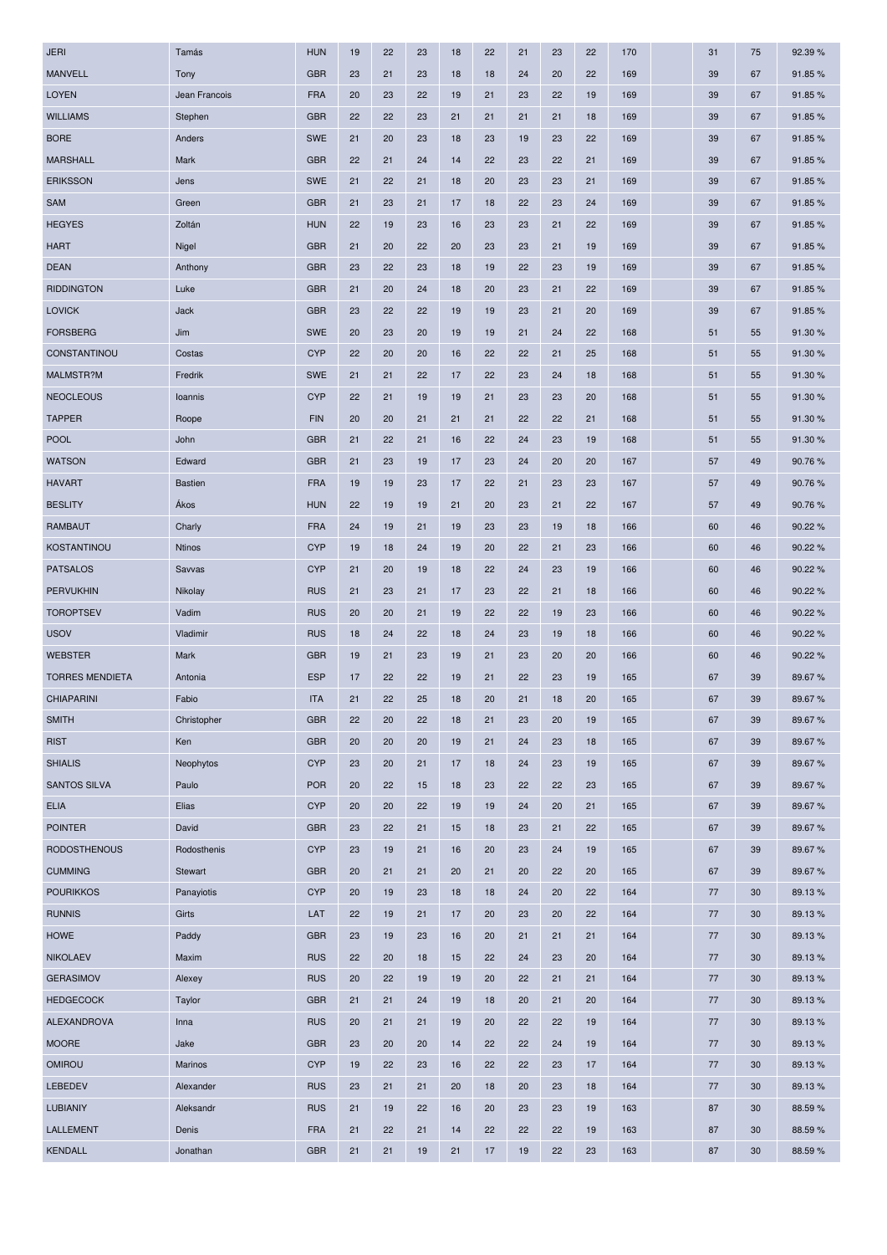| <b>JERI</b>            | Tamás          | <b>HUN</b> | 19 | 22 | 23 | 18 | 22 | 21 | 23 | 22 | 170 | 31 | 75 | 92.39 % |
|------------------------|----------------|------------|----|----|----|----|----|----|----|----|-----|----|----|---------|
| <b>MANVELL</b>         | Tony           | <b>GBR</b> | 23 | 21 | 23 | 18 | 18 | 24 | 20 | 22 | 169 | 39 | 67 | 91.85%  |
| <b>LOYEN</b>           | Jean Francois  | <b>FRA</b> | 20 | 23 | 22 | 19 | 21 | 23 | 22 | 19 | 169 | 39 | 67 | 91.85%  |
| <b>WILLIAMS</b>        | Stephen        | <b>GBR</b> | 22 | 22 | 23 | 21 | 21 | 21 | 21 | 18 | 169 | 39 | 67 | 91.85%  |
| <b>BORE</b>            | Anders         | <b>SWE</b> | 21 | 20 | 23 | 18 | 23 | 19 | 23 | 22 | 169 | 39 | 67 | 91.85%  |
| <b>MARSHALL</b>        | Mark           | <b>GBR</b> | 22 | 21 | 24 | 14 | 22 | 23 | 22 | 21 | 169 | 39 | 67 | 91.85%  |
| <b>ERIKSSON</b>        | Jens           | <b>SWE</b> | 21 | 22 | 21 | 18 | 20 | 23 | 23 | 21 | 169 | 39 | 67 | 91.85%  |
| <b>SAM</b>             | Green          | <b>GBR</b> | 21 | 23 | 21 | 17 | 18 | 22 | 23 | 24 | 169 | 39 | 67 | 91.85%  |
| <b>HEGYES</b>          | Zoltán         | <b>HUN</b> | 22 | 19 | 23 | 16 | 23 | 23 | 21 | 22 | 169 | 39 | 67 | 91.85%  |
| <b>HART</b>            | Nigel          | <b>GBR</b> | 21 | 20 | 22 | 20 | 23 | 23 | 21 | 19 | 169 | 39 | 67 | 91.85%  |
| <b>DEAN</b>            | Anthony        | <b>GBR</b> | 23 | 22 | 23 | 18 | 19 | 22 | 23 | 19 | 169 | 39 | 67 | 91.85%  |
| <b>RIDDINGTON</b>      | Luke           | <b>GBR</b> | 21 | 20 | 24 | 18 | 20 | 23 | 21 | 22 | 169 | 39 | 67 | 91.85%  |
| <b>LOVICK</b>          | Jack           | <b>GBR</b> | 23 | 22 | 22 | 19 | 19 | 23 | 21 | 20 | 169 | 39 | 67 | 91.85%  |
| <b>FORSBERG</b>        | Jim            | <b>SWE</b> | 20 | 23 | 20 | 19 | 19 | 21 | 24 | 22 | 168 | 51 | 55 | 91.30 % |
| <b>CONSTANTINOU</b>    | Costas         | <b>CYP</b> | 22 | 20 | 20 | 16 | 22 | 22 | 21 | 25 | 168 | 51 | 55 | 91.30 % |
| MALMSTR?M              | Fredrik        | <b>SWE</b> | 21 | 21 | 22 | 17 | 22 | 23 | 24 | 18 | 168 | 51 | 55 | 91.30 % |
| <b>NEOCLEOUS</b>       | Ioannis        | <b>CYP</b> | 22 | 21 | 19 | 19 | 21 | 23 | 23 | 20 | 168 | 51 | 55 | 91.30 % |
| <b>TAPPER</b>          | Roope          | <b>FIN</b> | 20 | 20 | 21 | 21 | 21 | 22 | 22 | 21 | 168 | 51 | 55 | 91.30 % |
| <b>POOL</b>            | John           | <b>GBR</b> | 21 | 22 | 21 | 16 | 22 | 24 | 23 | 19 | 168 | 51 | 55 | 91.30 % |
| <b>WATSON</b>          | Edward         | <b>GBR</b> | 21 | 23 | 19 | 17 | 23 | 24 | 20 | 20 | 167 | 57 | 49 | 90.76%  |
| <b>HAVART</b>          | <b>Bastien</b> | <b>FRA</b> | 19 | 19 | 23 | 17 | 22 | 21 | 23 | 23 | 167 | 57 | 49 | 90.76%  |
| <b>BESLITY</b>         | Ákos           | <b>HUN</b> | 22 | 19 | 19 | 21 | 20 | 23 | 21 | 22 | 167 | 57 | 49 | 90.76%  |
| <b>RAMBAUT</b>         | Charly         | <b>FRA</b> | 24 | 19 | 21 | 19 | 23 | 23 | 19 | 18 | 166 | 60 | 46 | 90.22 % |
| KOSTANTINOU            | <b>Ntinos</b>  | <b>CYP</b> | 19 | 18 | 24 | 19 | 20 | 22 | 21 | 23 | 166 | 60 | 46 | 90.22%  |
| <b>PATSALOS</b>        | Savvas         | <b>CYP</b> | 21 | 20 | 19 | 18 | 22 | 24 | 23 | 19 | 166 | 60 | 46 | 90.22%  |
| <b>PERVUKHIN</b>       | Nikolay        | <b>RUS</b> | 21 | 23 | 21 | 17 | 23 | 22 | 21 | 18 | 166 | 60 | 46 | 90.22 % |
| <b>TOROPTSEV</b>       | Vadim          | <b>RUS</b> | 20 | 20 | 21 | 19 | 22 | 22 | 19 | 23 | 166 | 60 | 46 | 90.22%  |
| <b>USOV</b>            | Vladimir       | <b>RUS</b> | 18 | 24 | 22 | 18 | 24 | 23 | 19 | 18 | 166 | 60 | 46 | 90.22 % |
| <b>WEBSTER</b>         | Mark           | <b>GBR</b> | 19 | 21 | 23 | 19 | 21 | 23 | 20 | 20 | 166 | 60 | 46 | 90.22 % |
| <b>TORRES MENDIETA</b> | Antonia        | <b>ESP</b> | 17 | 22 | 22 | 19 | 21 | 22 | 23 | 19 | 165 | 67 | 39 | 89.67%  |
| <b>CHIAPARINI</b>      | Fabio          | <b>ITA</b> | 21 | 22 | 25 | 18 | 20 | 21 | 18 | 20 | 165 | 67 | 39 | 89.67%  |
| <b>SMITH</b>           | Christopher    | <b>GBR</b> | 22 | 20 | 22 | 18 | 21 | 23 | 20 | 19 | 165 | 67 | 39 | 89.67%  |
| <b>RIST</b>            | Ken            | <b>GBR</b> | 20 | 20 | 20 | 19 | 21 | 24 | 23 | 18 | 165 | 67 | 39 | 89.67%  |
| <b>SHIALIS</b>         | Neophytos      | <b>CYP</b> | 23 | 20 | 21 | 17 | 18 | 24 | 23 | 19 | 165 | 67 | 39 | 89.67%  |
| <b>SANTOS SILVA</b>    | Paulo          | <b>POR</b> | 20 | 22 | 15 | 18 | 23 | 22 | 22 | 23 | 165 | 67 | 39 | 89.67%  |
| <b>ELIA</b>            | Elias          | <b>CYP</b> | 20 | 20 | 22 | 19 | 19 | 24 | 20 | 21 | 165 | 67 | 39 | 89.67%  |
| <b>POINTER</b>         | David          | <b>GBR</b> | 23 | 22 | 21 | 15 | 18 | 23 | 21 | 22 | 165 | 67 | 39 | 89.67%  |
| <b>RODOSTHENOUS</b>    | Rodosthenis    | <b>CYP</b> | 23 | 19 | 21 | 16 | 20 | 23 | 24 | 19 | 165 | 67 | 39 | 89.67%  |
| <b>CUMMING</b>         | Stewart        | <b>GBR</b> | 20 | 21 | 21 | 20 | 21 | 20 | 22 | 20 | 165 | 67 | 39 | 89.67%  |
| <b>POURIKKOS</b>       | Panayiotis     | <b>CYP</b> | 20 | 19 | 23 | 18 | 18 | 24 | 20 | 22 | 164 | 77 | 30 | 89.13%  |
| <b>RUNNIS</b>          | Girts          | LAT        | 22 | 19 | 21 | 17 | 20 | 23 | 20 | 22 | 164 | 77 | 30 | 89.13%  |
| <b>HOWE</b>            | Paddy          | <b>GBR</b> | 23 | 19 | 23 | 16 | 20 | 21 | 21 | 21 | 164 | 77 | 30 | 89.13%  |
| <b>NIKOLAEV</b>        | Maxim          | <b>RUS</b> | 22 | 20 | 18 | 15 | 22 | 24 | 23 | 20 | 164 | 77 | 30 | 89.13%  |
| <b>GERASIMOV</b>       | Alexey         | <b>RUS</b> | 20 | 22 | 19 | 19 | 20 | 22 | 21 | 21 | 164 | 77 | 30 | 89.13%  |
| <b>HEDGECOCK</b>       | Taylor         | <b>GBR</b> | 21 | 21 | 24 | 19 | 18 | 20 | 21 | 20 | 164 | 77 | 30 | 89.13%  |
| ALEXANDROVA            | Inna           | <b>RUS</b> | 20 | 21 | 21 | 19 | 20 | 22 | 22 | 19 | 164 | 77 | 30 | 89.13%  |
| <b>MOORE</b>           | Jake           | <b>GBR</b> | 23 | 20 | 20 | 14 | 22 | 22 | 24 | 19 | 164 | 77 | 30 | 89.13%  |
| OMIROU                 | Marinos        | <b>CYP</b> | 19 | 22 | 23 | 16 | 22 | 22 | 23 | 17 | 164 | 77 | 30 | 89.13%  |
| LEBEDEV                | Alexander      | <b>RUS</b> | 23 | 21 | 21 | 20 | 18 | 20 | 23 | 18 | 164 | 77 | 30 | 89.13%  |
| <b>LUBIANIY</b>        | Aleksandr      | <b>RUS</b> | 21 | 19 | 22 | 16 | 20 | 23 | 23 | 19 | 163 | 87 | 30 | 88.59%  |
| <b>LALLEMENT</b>       | Denis          | <b>FRA</b> | 21 | 22 | 21 | 14 | 22 | 22 | 22 | 19 | 163 | 87 | 30 | 88.59%  |
| <b>KENDALL</b>         | Jonathan       | <b>GBR</b> | 21 | 21 | 19 | 21 | 17 | 19 | 22 | 23 | 163 | 87 | 30 | 88.59%  |
|                        |                |            |    |    |    |    |    |    |    |    |     |    |    |         |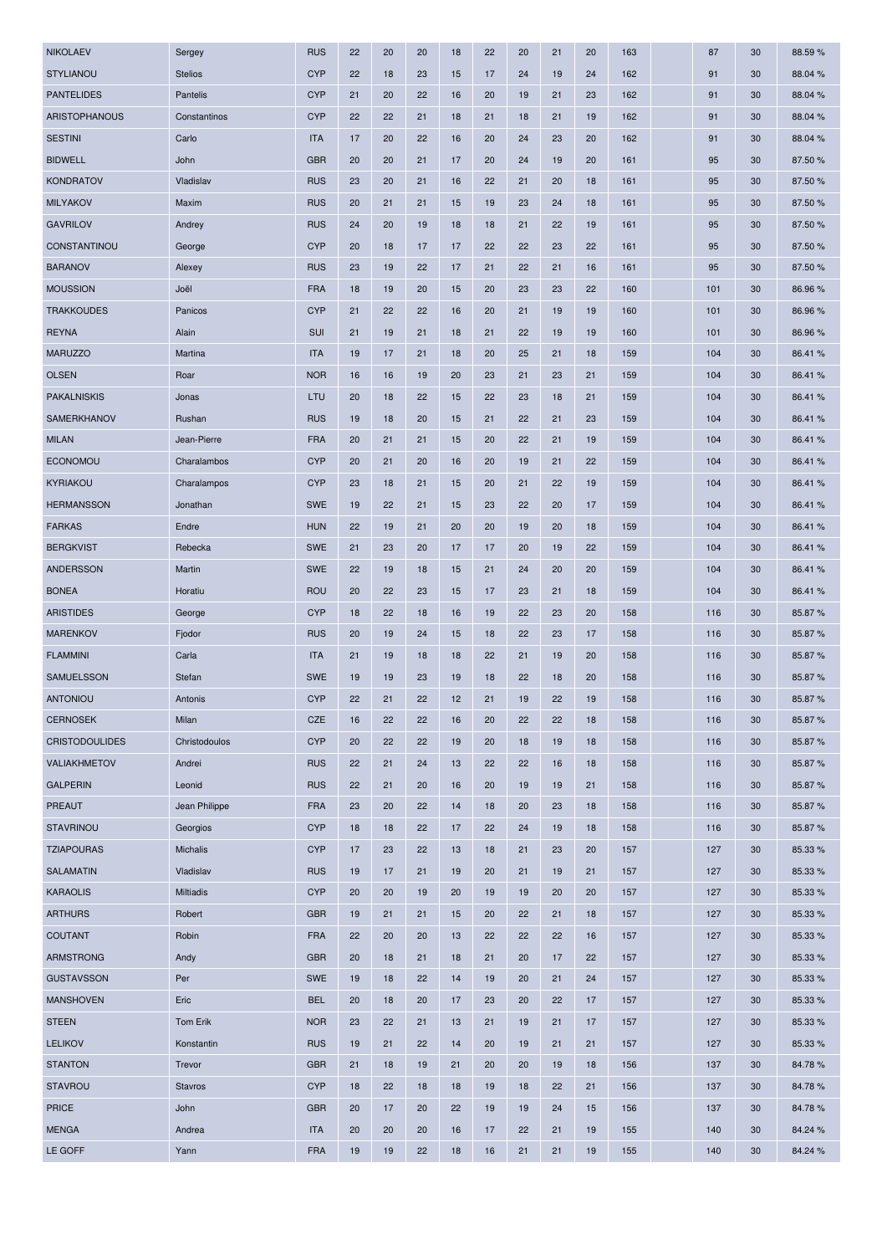| <b>NIKOLAEV</b>       | Sergey           | <b>RUS</b> | 22 | 20 | 20 | 18 | 22 | 20 | 21 | 20 | 163 | 87    | 30 | 88.59%  |
|-----------------------|------------------|------------|----|----|----|----|----|----|----|----|-----|-------|----|---------|
| <b>STYLIANOU</b>      | <b>Stelios</b>   | <b>CYP</b> | 22 | 18 | 23 | 15 | 17 | 24 | 19 | 24 | 162 | 91    | 30 | 88.04 % |
| <b>PANTELIDES</b>     | Pantelis         | <b>CYP</b> | 21 | 20 | 22 | 16 | 20 | 19 | 21 | 23 | 162 | 91    | 30 | 88.04 % |
| ARISTOPHANOUS         | Constantinos     | <b>CYP</b> | 22 | 22 | 21 | 18 | 21 | 18 | 21 | 19 | 162 | 91    | 30 | 88.04 % |
| <b>SESTINI</b>        | Carlo            | <b>ITA</b> | 17 | 20 | 22 | 16 | 20 | 24 | 23 | 20 | 162 | 91    | 30 | 88.04 % |
| <b>BIDWELL</b>        | John             | <b>GBR</b> | 20 | 20 | 21 | 17 | 20 | 24 | 19 | 20 | 161 | 95    | 30 | 87.50 % |
| <b>KONDRATOV</b>      | Vladislav        | <b>RUS</b> | 23 | 20 | 21 | 16 | 22 | 21 | 20 | 18 | 161 | 95    | 30 | 87.50 % |
| <b>MILYAKOV</b>       | Maxim            | <b>RUS</b> | 20 | 21 | 21 | 15 | 19 | 23 | 24 | 18 | 161 | 95    | 30 | 87.50 % |
| <b>GAVRILOV</b>       | Andrey           | <b>RUS</b> | 24 | 20 | 19 | 18 | 18 | 21 | 22 | 19 | 161 | 95    | 30 | 87.50 % |
| <b>CONSTANTINOU</b>   | George           | <b>CYP</b> | 20 | 18 | 17 | 17 | 22 | 22 | 23 | 22 | 161 | 95    | 30 | 87.50 % |
| <b>BARANOV</b>        | Alexey           | <b>RUS</b> | 23 | 19 | 22 | 17 | 21 | 22 | 21 | 16 | 161 | 95    | 30 | 87.50 % |
| <b>MOUSSION</b>       | Joël             | <b>FRA</b> | 18 | 19 | 20 | 15 | 20 | 23 | 23 | 22 | 160 | 101   | 30 | 86.96%  |
| <b>TRAKKOUDES</b>     | Panicos          | <b>CYP</b> | 21 | 22 | 22 | 16 | 20 | 21 | 19 | 19 | 160 | 101   | 30 | 86.96 % |
| <b>REYNA</b>          | Alain            | <b>SUI</b> | 21 | 19 | 21 | 18 | 21 | 22 | 19 | 19 | 160 | $101$ | 30 | 86.96 % |
| <b>MARUZZO</b>        | Martina          | <b>ITA</b> | 19 | 17 | 21 | 18 | 20 | 25 | 21 | 18 | 159 | 104   | 30 | 86.41%  |
| <b>OLSEN</b>          | Roar             | <b>NOR</b> | 16 | 16 | 19 | 20 | 23 | 21 | 23 | 21 | 159 | 104   | 30 | 86.41 % |
| <b>PAKALNISKIS</b>    | Jonas            | LTU        | 20 | 18 | 22 | 15 | 22 | 23 | 18 | 21 | 159 | 104   | 30 | 86.41 % |
| SAMERKHANOV           | Rushan           | <b>RUS</b> | 19 | 18 | 20 | 15 | 21 | 22 | 21 | 23 | 159 | 104   | 30 | 86.41 % |
| <b>MILAN</b>          | Jean-Pierre      | <b>FRA</b> | 20 | 21 | 21 | 15 | 20 | 22 | 21 | 19 | 159 | 104   | 30 | 86.41 % |
| <b>ECONOMOU</b>       | Charalambos      | <b>CYP</b> | 20 | 21 | 20 | 16 | 20 | 19 | 21 | 22 | 159 | 104   | 30 | 86.41 % |
| KYRIAKOU              | Charalampos      | <b>CYP</b> | 23 | 18 | 21 | 15 | 20 | 21 | 22 | 19 | 159 | 104   | 30 | 86.41 % |
| <b>HERMANSSON</b>     | Jonathan         | <b>SWE</b> | 19 | 22 | 21 | 15 | 23 | 22 | 20 | 17 | 159 | 104   | 30 | 86.41 % |
| <b>FARKAS</b>         | Endre            | <b>HUN</b> | 22 | 19 | 21 | 20 | 20 | 19 | 20 | 18 | 159 | 104   | 30 | 86.41 % |
| <b>BERGKVIST</b>      | Rebecka          | <b>SWE</b> | 21 | 23 | 20 | 17 | 17 | 20 | 19 | 22 | 159 | 104   | 30 | 86.41 % |
| <b>ANDERSSON</b>      | Martin           | <b>SWE</b> | 22 | 19 | 18 | 15 | 21 | 24 | 20 | 20 | 159 | 104   | 30 | 86.41 % |
| <b>BONEA</b>          | Horatiu          | <b>ROU</b> | 20 | 22 | 23 | 15 | 17 | 23 | 21 | 18 | 159 | 104   | 30 | 86.41 % |
| <b>ARISTIDES</b>      | George           | <b>CYP</b> | 18 | 22 | 18 | 16 | 19 | 22 | 23 | 20 | 158 | 116   | 30 | 85.87 % |
| <b>MARENKOV</b>       | Fjodor           | <b>RUS</b> | 20 | 19 | 24 | 15 | 18 | 22 | 23 | 17 | 158 | 116   | 30 | 85.87%  |
| <b>FLAMMINI</b>       | Carla            | <b>ITA</b> | 21 | 19 | 18 | 18 | 22 | 21 | 19 | 20 | 158 | 116   | 30 | 85.87 % |
| <b>SAMUELSSON</b>     | Stefan           | <b>SWE</b> | 19 | 19 | 23 | 19 | 18 | 22 | 18 | 20 | 158 | 116   | 30 | 85.87 % |
| <b>ANTONIOU</b>       | Antonis          | <b>CYP</b> | 22 | 21 | 22 | 12 | 21 | 19 | 22 | 19 | 158 | 116   | 30 | 85.87 % |
| <b>CERNOSEK</b>       | Milan            | CZE        | 16 | 22 | 22 | 16 | 20 | 22 | 22 | 18 | 158 | 116   | 30 | 85.87%  |
| <b>CRISTODOULIDES</b> | Christodoulos    | <b>CYP</b> | 20 | 22 | 22 | 19 | 20 | 18 | 19 | 18 | 158 | 116   | 30 | 85.87 % |
| VALIAKHMETOV          | Andrei           | <b>RUS</b> | 22 | 21 | 24 | 13 | 22 | 22 | 16 | 18 | 158 | 116   | 30 | 85.87%  |
| <b>GALPERIN</b>       | Leonid           | <b>RUS</b> | 22 | 21 | 20 | 16 | 20 | 19 | 19 | 21 | 158 | 116   | 30 | 85.87 % |
| PREAUT                | Jean Philippe    | <b>FRA</b> | 23 | 20 | 22 | 14 | 18 | 20 | 23 | 18 | 158 | 116   | 30 | 85.87 % |
| <b>STAVRINOU</b>      | Georgios         | <b>CYP</b> | 18 | 18 | 22 | 17 | 22 | 24 | 19 | 18 | 158 | 116   | 30 | 85.87%  |
| <b>TZIAPOURAS</b>     | Michalis         | <b>CYP</b> | 17 | 23 | 22 | 13 | 18 | 21 | 23 | 20 | 157 | 127   | 30 | 85.33 % |
| SALAMATIN             | Vladislav        | <b>RUS</b> | 19 | 17 | 21 | 19 | 20 | 21 | 19 | 21 | 157 | 127   | 30 | 85.33 % |
| <b>KARAOLIS</b>       | <b>Miltiadis</b> | <b>CYP</b> | 20 | 20 | 19 | 20 | 19 | 19 | 20 | 20 | 157 | 127   | 30 | 85.33 % |
| <b>ARTHURS</b>        | Robert           | <b>GBR</b> | 19 | 21 | 21 | 15 | 20 | 22 | 21 | 18 | 157 | 127   | 30 | 85.33 % |
|                       |                  |            |    |    |    |    |    |    |    |    |     |       |    |         |
| COUTANT               | Robin            | <b>FRA</b> | 22 | 20 | 20 | 13 | 22 | 22 | 22 | 16 | 157 | 127   | 30 | 85.33 % |
| <b>ARMSTRONG</b>      | Andy             | <b>GBR</b> | 20 | 18 | 21 | 18 | 21 | 20 | 17 | 22 | 157 | 127   | 30 | 85.33 % |
| <b>GUSTAVSSON</b>     | Per              | <b>SWE</b> | 19 | 18 | 22 | 14 | 19 | 20 | 21 | 24 | 157 | 127   | 30 | 85.33 % |
| <b>MANSHOVEN</b>      | Eric             | <b>BEL</b> | 20 | 18 | 20 | 17 | 23 | 20 | 22 | 17 | 157 | 127   | 30 | 85.33 % |
| <b>STEEN</b>          | Tom Erik         | <b>NOR</b> | 23 | 22 | 21 | 13 | 21 | 19 | 21 | 17 | 157 | 127   | 30 | 85.33 % |
| <b>LELIKOV</b>        | Konstantin       | <b>RUS</b> | 19 | 21 | 22 | 14 | 20 | 19 | 21 | 21 | 157 | 127   | 30 | 85.33 % |
| <b>STANTON</b>        | Trevor           | <b>GBR</b> | 21 | 18 | 19 | 21 | 20 | 20 | 19 | 18 | 156 | 137   | 30 | 84.78%  |
| <b>STAVROU</b>        | <b>Stavros</b>   | <b>CYP</b> | 18 | 22 | 18 | 18 | 19 | 18 | 22 | 21 | 156 | 137   | 30 | 84.78%  |
| <b>PRICE</b>          | John             | <b>GBR</b> | 20 | 17 | 20 | 22 | 19 | 19 | 24 | 15 | 156 | 137   | 30 | 84.78%  |
| <b>MENGA</b>          | Andrea           | <b>ITA</b> | 20 | 20 | 20 | 16 | 17 | 22 | 21 | 19 | 155 | 140   | 30 | 84.24 % |
| LE GOFF               | Yann             | <b>FRA</b> | 19 | 19 | 22 | 18 | 16 | 21 | 21 | 19 | 155 | 140   | 30 | 84.24 % |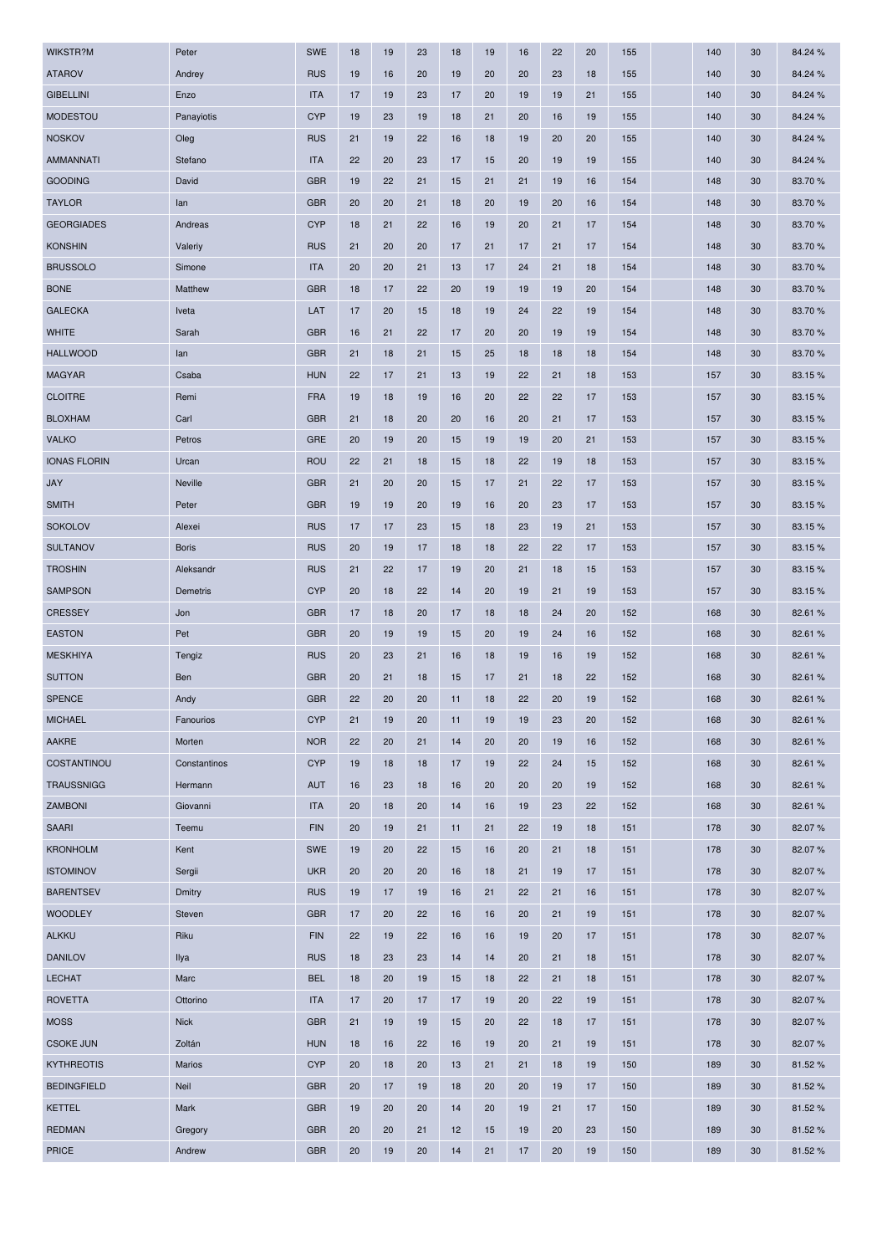| WIKSTR?M            | Peter        | <b>SWE</b> | 18 | 19 | 23 | 18 | 19 | 16 | 22 | 20 | 155 | 140 | 30 | 84.24 % |
|---------------------|--------------|------------|----|----|----|----|----|----|----|----|-----|-----|----|---------|
| <b>ATAROV</b>       | Andrey       | <b>RUS</b> | 19 | 16 | 20 | 19 | 20 | 20 | 23 | 18 | 155 | 140 | 30 | 84.24 % |
| <b>GIBELLINI</b>    | Enzo         | <b>ITA</b> | 17 | 19 | 23 | 17 | 20 | 19 | 19 | 21 | 155 | 140 | 30 | 84.24 % |
| <b>MODESTOU</b>     | Panayiotis   | <b>CYP</b> | 19 | 23 | 19 | 18 | 21 | 20 | 16 | 19 | 155 | 140 | 30 | 84.24 % |
| <b>NOSKOV</b>       | Oleg         | <b>RUS</b> | 21 | 19 | 22 | 16 | 18 | 19 | 20 | 20 | 155 | 140 | 30 | 84.24 % |
| <b>AMMANNATI</b>    | Stefano      | <b>ITA</b> | 22 | 20 | 23 | 17 | 15 | 20 | 19 | 19 | 155 | 140 | 30 | 84.24 % |
| <b>GOODING</b>      | David        | <b>GBR</b> | 19 | 22 | 21 | 15 | 21 | 21 | 19 | 16 | 154 | 148 | 30 | 83.70%  |
| <b>TAYLOR</b>       | lan          | <b>GBR</b> | 20 | 20 | 21 | 18 | 20 | 19 | 20 | 16 | 154 | 148 | 30 | 83.70%  |
| <b>GEORGIADES</b>   | Andreas      | <b>CYP</b> | 18 | 21 | 22 | 16 | 19 | 20 | 21 | 17 | 154 | 148 | 30 | 83.70 % |
| <b>KONSHIN</b>      | Valeriy      | <b>RUS</b> | 21 | 20 | 20 | 17 | 21 | 17 | 21 | 17 | 154 | 148 | 30 | 83.70%  |
| <b>BRUSSOLO</b>     | Simone       | <b>ITA</b> | 20 | 20 | 21 | 13 | 17 | 24 | 21 | 18 | 154 | 148 | 30 | 83.70%  |
| <b>BONE</b>         | Matthew      | <b>GBR</b> | 18 | 17 | 22 | 20 | 19 | 19 | 19 | 20 | 154 | 148 | 30 | 83.70%  |
| <b>GALECKA</b>      | Iveta        | LAT        | 17 | 20 | 15 | 18 | 19 | 24 | 22 | 19 | 154 | 148 | 30 | 83.70%  |
| <b>WHITE</b>        | Sarah        | <b>GBR</b> | 16 | 21 | 22 | 17 | 20 | 20 | 19 | 19 | 154 | 148 | 30 | 83.70%  |
| <b>HALLWOOD</b>     | lan          | <b>GBR</b> | 21 | 18 | 21 | 15 | 25 | 18 | 18 | 18 | 154 | 148 | 30 | 83.70%  |
| <b>MAGYAR</b>       | Csaba        | <b>HUN</b> | 22 | 17 | 21 | 13 | 19 | 22 | 21 | 18 | 153 | 157 | 30 | 83.15 % |
| <b>CLOITRE</b>      | Remi         | <b>FRA</b> | 19 | 18 | 19 | 16 | 20 | 22 | 22 | 17 | 153 | 157 | 30 | 83.15%  |
| <b>BLOXHAM</b>      | Carl         | <b>GBR</b> | 21 | 18 | 20 | 20 | 16 | 20 | 21 | 17 | 153 | 157 | 30 | 83.15%  |
| <b>VALKO</b>        | Petros       | <b>GRE</b> | 20 | 19 | 20 | 15 | 19 | 19 | 20 | 21 | 153 | 157 | 30 | 83.15%  |
| <b>IONAS FLORIN</b> | Urcan        | <b>ROU</b> | 22 | 21 | 18 | 15 | 18 | 22 | 19 | 18 | 153 | 157 | 30 | 83.15%  |
| <b>JAY</b>          | Neville      | <b>GBR</b> | 21 | 20 | 20 | 15 | 17 | 21 | 22 | 17 | 153 | 157 | 30 | 83.15%  |
| <b>SMITH</b>        | Peter        | <b>GBR</b> | 19 | 19 | 20 | 19 | 16 | 20 | 23 | 17 | 153 | 157 | 30 | 83.15%  |
| <b>SOKOLOV</b>      | Alexei       | <b>RUS</b> | 17 | 17 | 23 | 15 | 18 | 23 | 19 | 21 | 153 | 157 | 30 | 83.15 % |
| <b>SULTANOV</b>     | <b>Boris</b> | <b>RUS</b> | 20 | 19 | 17 | 18 | 18 | 22 | 22 | 17 | 153 | 157 | 30 | 83.15%  |
| <b>TROSHIN</b>      | Aleksandr    | <b>RUS</b> | 21 | 22 | 17 | 19 | 20 | 21 | 18 | 15 | 153 | 157 | 30 | 83.15%  |
| <b>SAMPSON</b>      | Demetris     | <b>CYP</b> | 20 | 18 | 22 | 14 | 20 | 19 | 21 | 19 | 153 | 157 | 30 | 83.15%  |
| <b>CRESSEY</b>      | Jon          | <b>GBR</b> | 17 | 18 | 20 | 17 | 18 | 18 | 24 | 20 | 152 | 168 | 30 | 82.61%  |
| <b>EASTON</b>       | Pet          | <b>GBR</b> | 20 | 19 | 19 | 15 | 20 | 19 | 24 | 16 | 152 | 168 | 30 | 82.61 % |
| <b>MESKHIYA</b>     | Tengiz       | <b>RUS</b> | 20 | 23 | 21 | 16 | 18 | 19 | 16 | 19 | 152 | 168 | 30 | 82.61 % |
| <b>SUTTON</b>       | Ben          | <b>GBR</b> | 20 | 21 | 18 | 15 | 17 | 21 | 18 | 22 | 152 | 168 | 30 | 82.61%  |
| <b>SPENCE</b>       | Andy         | <b>GBR</b> | 22 | 20 | 20 | 11 | 18 | 22 | 20 | 19 | 152 | 168 | 30 | 82.61%  |
| <b>MICHAEL</b>      | Fanourios    | <b>CYP</b> | 21 | 19 | 20 | 11 | 19 | 19 | 23 | 20 | 152 | 168 | 30 | 82.61%  |
| AAKRE               | Morten       | <b>NOR</b> | 22 | 20 | 21 | 14 | 20 | 20 | 19 | 16 | 152 | 168 | 30 | 82.61%  |
| COSTANTINOU         | Constantinos | <b>CYP</b> | 19 | 18 | 18 | 17 | 19 | 22 | 24 | 15 | 152 | 168 | 30 | 82.61 % |
| <b>TRAUSSNIGG</b>   | Hermann      | <b>AUT</b> | 16 | 23 | 18 | 16 | 20 | 20 | 20 | 19 | 152 | 168 | 30 | 82.61%  |
| ZAMBONI             | Giovanni     | <b>ITA</b> | 20 | 18 | 20 | 14 | 16 | 19 | 23 | 22 | 152 | 168 | 30 | 82.61%  |
| <b>SAARI</b>        | Teemu        | <b>FIN</b> | 20 | 19 | 21 | 11 | 21 | 22 | 19 | 18 | 151 | 178 | 30 | 82.07%  |
| <b>KRONHOLM</b>     | Kent         | SWE        | 19 | 20 | 22 | 15 | 16 | 20 | 21 | 18 | 151 | 178 | 30 | 82.07%  |
| <b>ISTOMINOV</b>    | Sergii       | <b>UKR</b> | 20 | 20 | 20 | 16 | 18 | 21 | 19 | 17 | 151 | 178 | 30 | 82.07%  |
| <b>BARENTSEV</b>    | Dmitry       | <b>RUS</b> | 19 | 17 | 19 | 16 | 21 | 22 | 21 | 16 | 151 | 178 | 30 | 82.07%  |
| <b>WOODLEY</b>      | Steven       | <b>GBR</b> | 17 | 20 | 22 | 16 | 16 | 20 | 21 | 19 | 151 | 178 | 30 | 82.07%  |
| <b>ALKKU</b>        | Riku         | <b>FIN</b> | 22 | 19 | 22 | 16 | 16 | 19 | 20 | 17 | 151 | 178 | 30 | 82.07%  |
| <b>DANILOV</b>      | Ilya         | <b>RUS</b> | 18 | 23 | 23 | 14 | 14 | 20 | 21 | 18 | 151 | 178 | 30 | 82.07%  |
| <b>LECHAT</b>       | Marc         | <b>BEL</b> | 18 | 20 | 19 | 15 | 18 | 22 | 21 | 18 | 151 | 178 | 30 | 82.07%  |
| <b>ROVETTA</b>      | Ottorino     | <b>ITA</b> | 17 | 20 | 17 | 17 | 19 | 20 | 22 | 19 | 151 | 178 | 30 | 82.07%  |
| <b>MOSS</b>         | <b>Nick</b>  | <b>GBR</b> | 21 | 19 | 19 | 15 | 20 | 22 | 18 | 17 | 151 | 178 | 30 | 82.07%  |
| <b>CSOKE JUN</b>    | Zoltán       | <b>HUN</b> | 18 | 16 | 22 | 16 | 19 | 20 | 21 | 19 | 151 | 178 | 30 | 82.07%  |
| <b>KYTHREOTIS</b>   | Marios       | <b>CYP</b> | 20 | 18 | 20 | 13 | 21 | 21 | 18 | 19 | 150 | 189 | 30 | 81.52%  |
| <b>BEDINGFIELD</b>  | Neil         | <b>GBR</b> | 20 | 17 | 19 | 18 | 20 | 20 | 19 | 17 | 150 | 189 | 30 | 81.52%  |
| <b>KETTEL</b>       | Mark         | <b>GBR</b> | 19 | 20 | 20 | 14 | 20 | 19 | 21 | 17 | 150 | 189 | 30 | 81.52 % |
| <b>REDMAN</b>       | Gregory      | <b>GBR</b> | 20 | 20 | 21 | 12 | 15 | 19 | 20 | 23 | 150 | 189 | 30 | 81.52%  |
| <b>PRICE</b>        | Andrew       | <b>GBR</b> | 20 | 19 | 20 | 14 | 21 | 17 | 20 | 19 | 150 | 189 | 30 | 81.52%  |
|                     |              |            |    |    |    |    |    |    |    |    |     |     |    |         |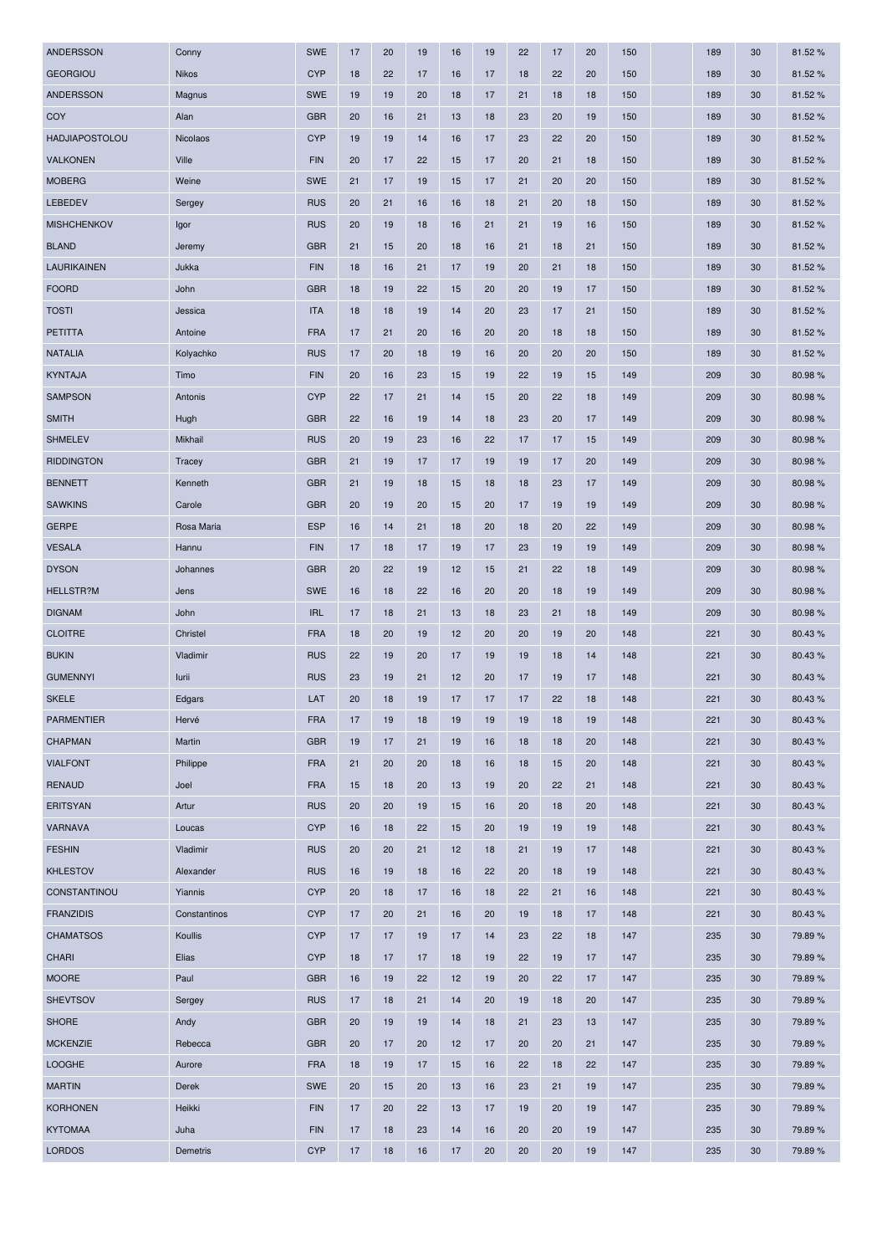| <b>ANDERSSON</b>      | Conny        | <b>SWE</b> | 17 | 20 | 19 | 16 | 19 | 22 | 17 | 20 | 150 | 189 | 30 | 81.52%  |
|-----------------------|--------------|------------|----|----|----|----|----|----|----|----|-----|-----|----|---------|
| <b>GEORGIOU</b>       | <b>Nikos</b> | <b>CYP</b> | 18 | 22 | 17 | 16 | 17 | 18 | 22 | 20 | 150 | 189 | 30 | 81.52%  |
| ANDERSSON             | Magnus       | <b>SWE</b> | 19 | 19 | 20 | 18 | 17 | 21 | 18 | 18 | 150 | 189 | 30 | 81.52%  |
| COY                   | Alan         | <b>GBR</b> | 20 | 16 | 21 | 13 | 18 | 23 | 20 | 19 | 150 | 189 | 30 | 81.52 % |
| <b>HADJIAPOSTOLOU</b> | Nicolaos     | <b>CYP</b> | 19 | 19 | 14 | 16 | 17 | 23 | 22 | 20 | 150 | 189 | 30 | 81.52%  |
| <b>VALKONEN</b>       | Ville        | <b>FIN</b> | 20 | 17 | 22 | 15 | 17 | 20 | 21 | 18 | 150 | 189 | 30 | 81.52 % |
| <b>MOBERG</b>         | Weine        | <b>SWE</b> | 21 | 17 | 19 | 15 | 17 | 21 | 20 | 20 | 150 | 189 | 30 | 81.52%  |
| LEBEDEV               | Sergey       | <b>RUS</b> | 20 | 21 | 16 | 16 | 18 | 21 | 20 | 18 | 150 | 189 | 30 | 81.52%  |
| <b>MISHCHENKOV</b>    | Igor         | <b>RUS</b> | 20 | 19 | 18 | 16 | 21 | 21 | 19 | 16 | 150 | 189 | 30 | 81.52%  |
| <b>BLAND</b>          | Jeremy       | <b>GBR</b> | 21 | 15 | 20 | 18 | 16 | 21 | 18 | 21 | 150 | 189 | 30 | 81.52%  |
| LAURIKAINEN           | Jukka        | <b>FIN</b> | 18 | 16 | 21 | 17 | 19 | 20 | 21 | 18 | 150 | 189 | 30 | 81.52%  |
| <b>FOORD</b>          | John         | <b>GBR</b> | 18 | 19 | 22 | 15 | 20 | 20 | 19 | 17 | 150 | 189 | 30 | 81.52%  |
| <b>TOSTI</b>          | Jessica      | <b>ITA</b> | 18 | 18 | 19 | 14 | 20 | 23 | 17 | 21 | 150 | 189 | 30 | 81.52%  |
| <b>PETITTA</b>        | Antoine      | <b>FRA</b> | 17 | 21 | 20 | 16 | 20 | 20 | 18 | 18 | 150 | 189 | 30 | 81.52%  |
| <b>NATALIA</b>        | Kolyachko    | <b>RUS</b> | 17 | 20 | 18 | 19 | 16 | 20 | 20 | 20 | 150 | 189 | 30 | 81.52%  |
| <b>KYNTAJA</b>        | Timo         | <b>FIN</b> | 20 | 16 | 23 | 15 | 19 | 22 | 19 | 15 | 149 | 209 | 30 | 80.98%  |
| <b>SAMPSON</b>        | Antonis      | <b>CYP</b> | 22 | 17 | 21 | 14 | 15 | 20 | 22 | 18 | 149 | 209 | 30 | 80.98%  |
| <b>SMITH</b>          | Hugh         | <b>GBR</b> | 22 | 16 | 19 | 14 | 18 | 23 | 20 | 17 | 149 | 209 | 30 | 80.98%  |
| <b>SHMELEV</b>        | Mikhail      | <b>RUS</b> | 20 | 19 | 23 | 16 | 22 | 17 | 17 | 15 | 149 | 209 | 30 | 80.98%  |
| <b>RIDDINGTON</b>     | Tracey       | <b>GBR</b> | 21 | 19 | 17 | 17 | 19 | 19 | 17 | 20 | 149 | 209 | 30 | 80.98%  |
| <b>BENNETT</b>        | Kenneth      | <b>GBR</b> | 21 | 19 | 18 | 15 | 18 | 18 | 23 | 17 | 149 | 209 | 30 | 80.98%  |
| <b>SAWKINS</b>        | Carole       | <b>GBR</b> | 20 | 19 | 20 | 15 | 20 | 17 | 19 | 19 | 149 | 209 | 30 | 80.98%  |
| <b>GERPE</b>          | Rosa Maria   | <b>ESP</b> | 16 | 14 | 21 | 18 | 20 | 18 | 20 | 22 | 149 | 209 | 30 | 80.98%  |
| <b>VESALA</b>         | Hannu        | <b>FIN</b> | 17 | 18 | 17 | 19 | 17 | 23 | 19 | 19 | 149 | 209 | 30 | 80.98%  |
| <b>DYSON</b>          | Johannes     | <b>GBR</b> | 20 | 22 | 19 | 12 | 15 | 21 | 22 | 18 | 149 | 209 | 30 | 80.98%  |
| <b>HELLSTR?M</b>      | Jens         | <b>SWE</b> | 16 | 18 | 22 | 16 | 20 | 20 | 18 | 19 | 149 | 209 | 30 | 80.98%  |
| <b>DIGNAM</b>         | John         | <b>IRL</b> | 17 | 18 | 21 | 13 | 18 | 23 | 21 | 18 | 149 | 209 | 30 | 80.98%  |
| <b>CLOITRE</b>        | Christel     | <b>FRA</b> | 18 | 20 | 19 | 12 | 20 | 20 | 19 | 20 | 148 | 221 | 30 | 80.43%  |
| <b>BUKIN</b>          | Vladimir     | <b>RUS</b> | 22 | 19 | 20 | 17 | 19 | 19 | 18 | 14 | 148 | 221 | 30 | 80.43%  |
| <b>GUMENNYI</b>       | lurii        | <b>RUS</b> | 23 | 19 | 21 | 12 | 20 | 17 | 19 | 17 | 148 | 221 | 30 | 80.43%  |
| <b>SKELE</b>          | Edgars       | LAT        | 20 | 18 | 19 | 17 | 17 | 17 | 22 | 18 | 148 | 221 | 30 | 80.43%  |
| <b>PARMENTIER</b>     | Hervé        | <b>FRA</b> | 17 | 19 | 18 | 19 | 19 | 19 | 18 | 19 | 148 | 221 | 30 | 80.43%  |
| <b>CHAPMAN</b>        | Martin       | <b>GBR</b> | 19 | 17 | 21 | 19 | 16 | 18 | 18 | 20 | 148 | 221 | 30 | 80.43%  |
| <b>VIALFONT</b>       | Philippe     | <b>FRA</b> | 21 | 20 | 20 | 18 | 16 | 18 | 15 | 20 | 148 | 221 | 30 | 80.43%  |
| <b>RENAUD</b>         | Joel         | <b>FRA</b> | 15 | 18 | 20 | 13 | 19 | 20 | 22 | 21 | 148 | 221 | 30 | 80.43%  |
| <b>ERITSYAN</b>       | Artur        | <b>RUS</b> | 20 | 20 | 19 | 15 | 16 | 20 | 18 | 20 | 148 | 221 | 30 | 80.43%  |
| VARNAVA               | Loucas       | <b>CYP</b> | 16 | 18 | 22 | 15 | 20 | 19 | 19 | 19 | 148 | 221 | 30 | 80.43%  |
| <b>FESHIN</b>         | Vladimir     | <b>RUS</b> | 20 | 20 | 21 | 12 | 18 | 21 | 19 | 17 | 148 | 221 | 30 | 80.43%  |
| <b>KHLESTOV</b>       | Alexander    | <b>RUS</b> | 16 | 19 | 18 | 16 | 22 | 20 | 18 | 19 | 148 | 221 | 30 | 80.43%  |
| CONSTANTINOU          | Yiannis      | <b>CYP</b> | 20 | 18 | 17 | 16 | 18 | 22 | 21 | 16 | 148 | 221 | 30 | 80.43%  |
| <b>FRANZIDIS</b>      | Constantinos | <b>CYP</b> | 17 | 20 | 21 | 16 | 20 | 19 | 18 | 17 | 148 | 221 | 30 | 80.43%  |
| <b>CHAMATSOS</b>      | Koullis      | <b>CYP</b> | 17 | 17 | 19 | 17 | 14 | 23 | 22 | 18 | 147 | 235 | 30 | 79.89%  |
| <b>CHARI</b>          | Elias        | <b>CYP</b> | 18 | 17 | 17 | 18 | 19 | 22 | 19 | 17 | 147 | 235 | 30 | 79.89%  |
| <b>MOORE</b>          | Paul         | <b>GBR</b> | 16 | 19 | 22 | 12 | 19 | 20 | 22 | 17 | 147 | 235 | 30 | 79.89%  |
| <b>SHEVTSOV</b>       | Sergey       | <b>RUS</b> | 17 | 18 | 21 | 14 | 20 | 19 | 18 | 20 | 147 | 235 | 30 | 79.89%  |
| <b>SHORE</b>          | Andy         | <b>GBR</b> | 20 | 19 | 19 | 14 | 18 | 21 | 23 | 13 | 147 | 235 | 30 | 79.89%  |
| <b>MCKENZIE</b>       | Rebecca      | <b>GBR</b> | 20 | 17 | 20 | 12 | 17 | 20 | 20 | 21 | 147 | 235 | 30 | 79.89%  |
| <b>LOOGHE</b>         | Aurore       | <b>FRA</b> | 18 | 19 | 17 | 15 | 16 | 22 | 18 | 22 | 147 | 235 | 30 | 79.89%  |
| <b>MARTIN</b>         | Derek        | <b>SWE</b> | 20 | 15 | 20 | 13 | 16 | 23 | 21 | 19 | 147 | 235 | 30 | 79.89%  |
| <b>KORHONEN</b>       | Heikki       | <b>FIN</b> | 17 | 20 | 22 | 13 | 17 | 19 | 20 | 19 | 147 | 235 | 30 | 79.89%  |
| <b>KYTOMAA</b>        | Juha         | <b>FIN</b> | 17 | 18 | 23 | 14 | 16 | 20 | 20 | 19 | 147 | 235 | 30 | 79.89%  |
| <b>LORDOS</b>         | Demetris     | <b>CYP</b> | 17 | 18 | 16 | 17 | 20 | 20 | 20 | 19 | 147 | 235 | 30 | 79.89%  |
|                       |              |            |    |    |    |    |    |    |    |    |     |     |    |         |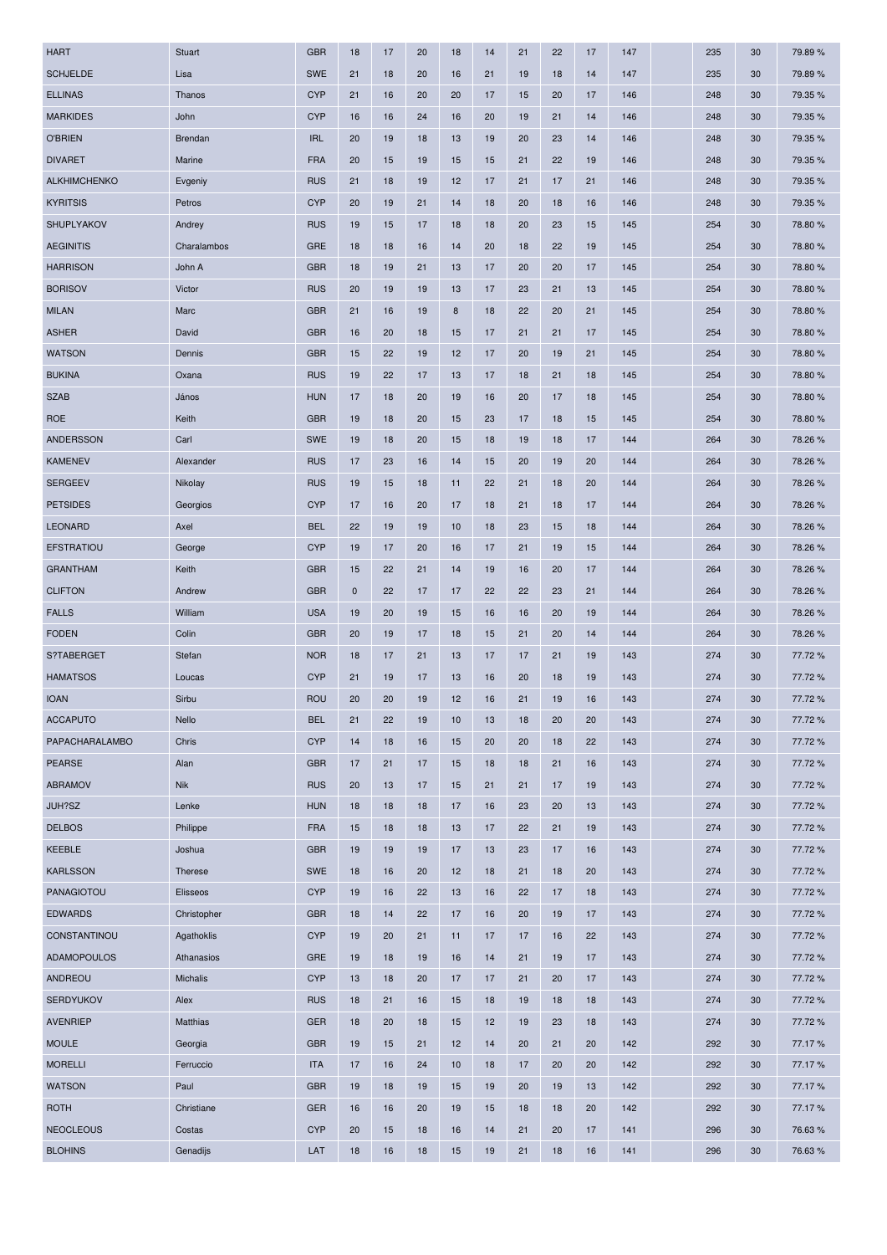| <b>HART</b>                   | <b>Stuart</b> | <b>GBR</b> | 18       | 17       | 20 | 18       | 14 | 21 | 22       | 17 | 147        | 235        | 30 | 79.89%  |
|-------------------------------|---------------|------------|----------|----------|----|----------|----|----|----------|----|------------|------------|----|---------|
| <b>SCHJELDE</b>               | Lisa          | <b>SWE</b> | 21       | 18       | 20 | 16       | 21 | 19 | 18       | 14 | 147        | 235        | 30 | 79.89%  |
| <b>ELLINAS</b>                | Thanos        | <b>CYP</b> | 21       | 16       | 20 | 20       | 17 | 15 | 20       | 17 | 146        | 248        | 30 | 79.35 % |
| <b>MARKIDES</b>               | John          | <b>CYP</b> | 16       | 16       | 24 | 16       | 20 | 19 | 21       | 14 | 146        | 248        | 30 | 79.35 % |
| <b>O'BRIEN</b>                | Brendan       | <b>IRL</b> | 20       | 19       | 18 | 13       | 19 | 20 | 23       | 14 | 146        | 248        | 30 | 79.35 % |
| <b>DIVARET</b>                | Marine        | <b>FRA</b> | 20       | 15       | 19 | 15       | 15 | 21 | 22       | 19 | 146        | 248        | 30 | 79.35 % |
| <b>ALKHIMCHENKO</b>           | Evgeniy       | <b>RUS</b> | 21       | 18       | 19 | 12       | 17 | 21 | 17       | 21 | 146        | 248        | 30 | 79.35 % |
| <b>KYRITSIS</b>               | Petros        | <b>CYP</b> | 20       | 19       | 21 | 14       | 18 | 20 | 18       | 16 | 146        | 248        | 30 | 79.35 % |
| SHUPLYAKOV                    | Andrey        | <b>RUS</b> | 19       | 15       | 17 | 18       | 18 | 20 | 23       | 15 | 145        | 254        | 30 | 78.80 % |
| <b>AEGINITIS</b>              | Charalambos   | <b>GRE</b> | 18       | 18       | 16 | 14       | 20 | 18 | 22       | 19 | 145        | 254        | 30 | 78.80%  |
| <b>HARRISON</b>               | John A        | <b>GBR</b> | 18       | 19       | 21 | 13       | 17 | 20 | 20       | 17 | 145        | 254        | 30 | 78.80 % |
| <b>BORISOV</b>                | Victor        | <b>RUS</b> | 20       | 19       | 19 | 13       | 17 | 23 | 21       | 13 | 145        | 254        | 30 | 78.80%  |
| <b>MILAN</b>                  | Marc          | <b>GBR</b> | 21       | 16       | 19 | 8        | 18 | 22 | 20       | 21 | 145        | 254        | 30 | 78.80 % |
| <b>ASHER</b>                  | David         | <b>GBR</b> | 16       | 20       | 18 | 15       | 17 | 21 | 21       | 17 | 145        | 254        | 30 | 78.80%  |
| <b>WATSON</b>                 | Dennis        | <b>GBR</b> | 15       | 22       | 19 | 12       | 17 | 20 | 19       | 21 | 145        | 254        | 30 | 78.80%  |
| <b>BUKINA</b>                 | Oxana         | <b>RUS</b> | 19       | 22       | 17 | 13       | 17 | 18 | 21       | 18 | 145        | 254        | 30 | 78.80%  |
| <b>SZAB</b>                   | János         | <b>HUN</b> | 17       | 18       | 20 | 19       | 16 | 20 | 17       | 18 | 145        | 254        | 30 | 78.80%  |
| <b>ROE</b>                    | Keith         | <b>GBR</b> | 19       | 18       | 20 | 15       | 23 | 17 | 18       | 15 | 145        | 254        | 30 | 78.80 % |
| <b>ANDERSSON</b>              | Carl          | <b>SWE</b> | 19       | 18       | 20 | 15       | 18 | 19 | 18       | 17 | 144        | 264        | 30 | 78.26 % |
| <b>KAMENEV</b>                | Alexander     | <b>RUS</b> | 17       | 23       | 16 | 14       | 15 | 20 | 19       | 20 | 144        | 264        | 30 | 78.26%  |
| <b>SERGEEV</b>                | Nikolay       | <b>RUS</b> | 19       | 15       | 18 | 11       | 22 | 21 | 18       | 20 | 144        | 264        | 30 | 78.26 % |
| <b>PETSIDES</b>               | Georgios      | <b>CYP</b> | 17       | 16       | 20 | 17       | 18 | 21 | 18       | 17 | 144        | 264        | 30 | 78.26%  |
| <b>LEONARD</b>                | Axel          | <b>BEL</b> | 22       | 19       | 19 | 10       | 18 | 23 | 15       | 18 | 144        | 264        | 30 | 78.26 % |
| <b>EFSTRATIOU</b>             | George        | <b>CYP</b> | 19       | 17       | 20 | 16       | 17 | 21 | 19       | 15 | 144        | 264        | 30 | 78.26 % |
| <b>GRANTHAM</b>               | Keith         | <b>GBR</b> | 15       | 22       | 21 | 14       | 19 | 16 | 20       | 17 | 144        | 264        | 30 | 78.26%  |
| <b>CLIFTON</b>                | Andrew        | <b>GBR</b> | $\bf{0}$ | 22       | 17 | 17       | 22 | 22 | 23       | 21 | 144        | 264        | 30 | 78.26%  |
| <b>FALLS</b>                  | William       | <b>USA</b> | 19       | 20       | 19 | 15       | 16 | 16 | 20       | 19 | 144        | 264        | 30 | 78.26%  |
| <b>FODEN</b>                  | Colin         | <b>GBR</b> | 20       | 19       | 17 | 18       | 15 | 21 | 20       | 14 | 144        | 264        | 30 | 78.26 % |
| S?TABERGET                    | Stefan        | <b>NOR</b> | 18       | 17       | 21 | 13       | 17 | 17 | 21       | 19 | 143        | 274        | 30 | 77.72 % |
| <b>HAMATSOS</b>               | Loucas        | <b>CYP</b> | 21       | 19       | 17 | 13       | 16 | 20 | 18       | 19 | 143        | 274        | 30 | 77.72 % |
| <b>IOAN</b>                   | Sirbu         | <b>ROU</b> | 20       | 20       | 19 | 12       | 16 | 21 | 19       | 16 | 143        | 274        | 30 | 77.72%  |
| <b>ACCAPUTO</b>               | Nello         | <b>BEL</b> | 21       | 22       | 19 | 10       | 13 | 18 | 20       | 20 | 143        | 274        | 30 | 77.72%  |
| PAPACHARALAMBO                | Chris         | <b>CYP</b> | 14       | 18       | 16 | 15       | 20 | 20 | 18       | 22 | 143        | 274        | 30 | 77.72%  |
| <b>PEARSE</b>                 | Alan          | <b>GBR</b> | 17       | 21       | 17 | 15       | 18 | 18 | 21       | 16 | 143        | 274        | 30 | 77.72%  |
| <b>ABRAMOV</b>                | <b>Nik</b>    | <b>RUS</b> | 20       | 13       | 17 | 15       | 21 | 21 | 17       | 19 | 143        | 274        | 30 | 77.72%  |
| JUH?SZ                        | Lenke         | <b>HUN</b> | 18       | 18       | 18 | 17       | 16 | 23 | 20       | 13 | 143        | 274        | 30 | 77.72%  |
| <b>DELBOS</b>                 | Philippe      | <b>FRA</b> | 15       | 18       | 18 | 13       | 17 | 22 | 21       | 19 | 143        | 274        | 30 | 77.72%  |
| KEEBLE                        | Joshua        | <b>GBR</b> | 19       | 19       | 19 | 17       | 13 | 23 | 17       | 16 | 143        | 274        | 30 | 77.72 % |
|                               |               | SWE        |          |          |    |          |    |    |          |    |            |            |    |         |
| <b>KARLSSON</b><br>PANAGIOTOU | Therese       | <b>CYP</b> | 18<br>19 | 16<br>16 | 20 | 12<br>13 | 18 | 21 | 18<br>17 | 20 | 143<br>143 | 274<br>274 | 30 | 77.72%  |
|                               | Elisseos      |            |          |          | 22 |          | 16 | 22 |          | 18 |            |            | 30 | 77.72 % |
| <b>EDWARDS</b>                | Christopher   | <b>GBR</b> | 18       | 14       | 22 | 17       | 16 | 20 | 19       | 17 | 143        | 274        | 30 | 77.72%  |
| CONSTANTINOU                  | Agathoklis    | <b>CYP</b> | 19       | 20       | 21 | 11       | 17 | 17 | 16       | 22 | 143        | 274        | 30 | 77.72%  |
| ADAMOPOULOS                   | Athanasios    | <b>GRE</b> | 19       | 18       | 19 | 16       | 14 | 21 | 19       | 17 | 143        | 274        | 30 | 77.72%  |
| ANDREOU                       | Michalis      | <b>CYP</b> | 13       | 18       | 20 | 17       | 17 | 21 | 20       | 17 | 143        | 274        | 30 | 77.72%  |
| <b>SERDYUKOV</b>              | Alex          | <b>RUS</b> | 18       | 21       | 16 | 15       | 18 | 19 | 18       | 18 | 143        | 274        | 30 | 77.72%  |
| <b>AVENRIEP</b>               | Matthias      | <b>GER</b> | 18       | 20       | 18 | 15       | 12 | 19 | 23       | 18 | 143        | 274        | 30 | 77.72%  |
| <b>MOULE</b>                  | Georgia       | <b>GBR</b> | 19       | 15       | 21 | 12       | 14 | 20 | 21       | 20 | 142        | 292        | 30 | 77.17%  |
| <b>MORELLI</b>                | Ferruccio     | <b>ITA</b> | 17       | 16       | 24 | 10       | 18 | 17 | 20       | 20 | 142        | 292        | 30 | 77.17%  |
| <b>WATSON</b>                 | Paul          | <b>GBR</b> | 19       | 18       | 19 | 15       | 19 | 20 | 19       | 13 | 142        | 292        | 30 | 77.17%  |
| <b>ROTH</b>                   | Christiane    | <b>GER</b> | 16       | 16       | 20 | 19       | 15 | 18 | 18       | 20 | 142        | 292        | 30 | 77.17%  |
| <b>NEOCLEOUS</b>              | Costas        | <b>CYP</b> | 20       | 15       | 18 | 16       | 14 | 21 | 20       | 17 | 141        | 296        | 30 | 76.63%  |
| <b>BLOHINS</b>                | Genadijs      | LAT        | 18       | 16       | 18 | 15       | 19 | 21 | 18       | 16 | 141        | 296        | 30 | 76.63%  |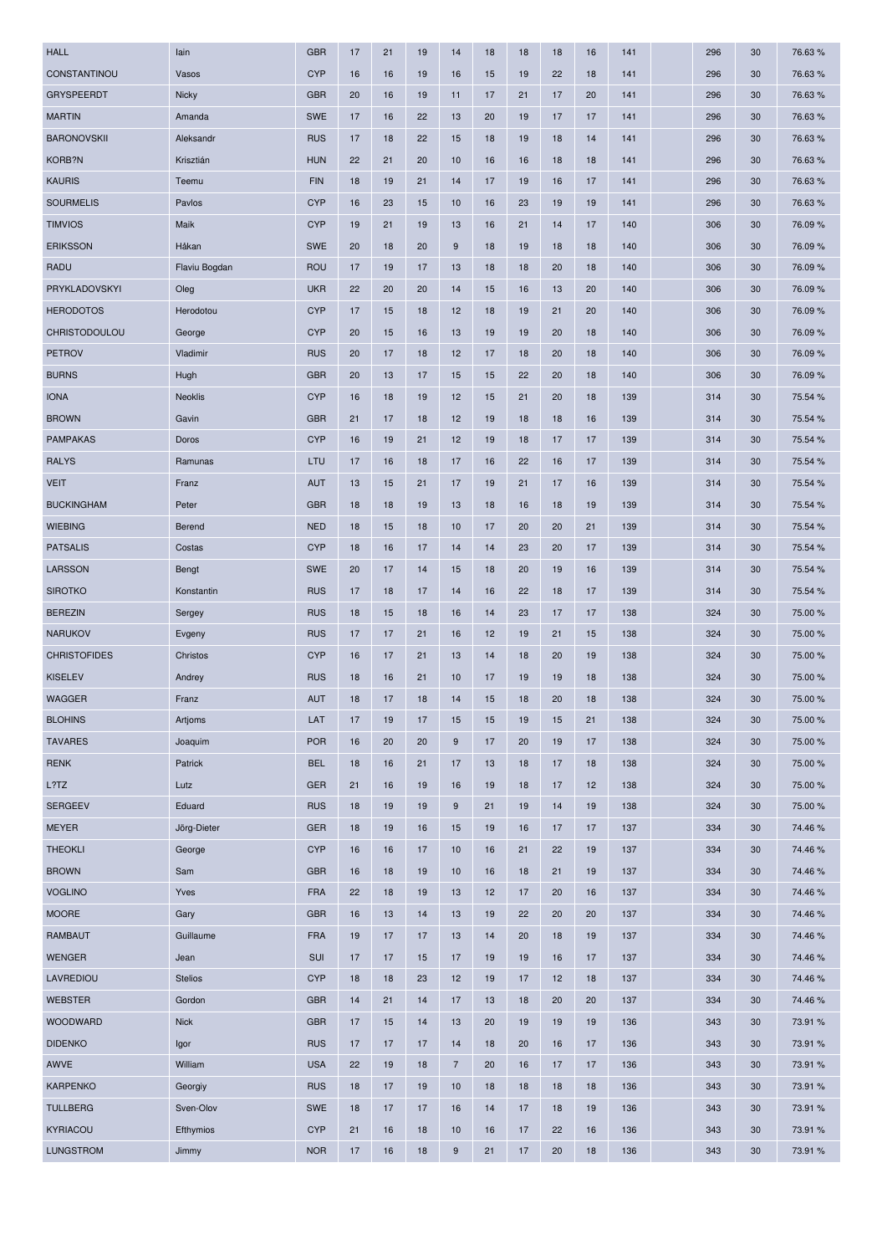| <b>HALL</b>         | lain           | <b>GBR</b> | 17 | 21 | 19 | 14               | 18 | 18 | 18 | 16 | 141 | 296 | 30 | 76.63%  |
|---------------------|----------------|------------|----|----|----|------------------|----|----|----|----|-----|-----|----|---------|
| CONSTANTINOU        | Vasos          | <b>CYP</b> | 16 | 16 | 19 | 16               | 15 | 19 | 22 | 18 | 141 | 296 | 30 | 76.63%  |
| <b>GRYSPEERDT</b>   | Nicky          | <b>GBR</b> | 20 | 16 | 19 | 11               | 17 | 21 | 17 | 20 | 141 | 296 | 30 | 76.63%  |
| <b>MARTIN</b>       | Amanda         | <b>SWE</b> | 17 | 16 | 22 | 13               | 20 | 19 | 17 | 17 | 141 | 296 | 30 | 76.63%  |
| <b>BARONOVSKII</b>  | Aleksandr      | <b>RUS</b> | 17 | 18 | 22 | 15               | 18 | 19 | 18 | 14 | 141 | 296 | 30 | 76.63%  |
| KORB?N              | Krisztián      | <b>HUN</b> | 22 | 21 | 20 | 10               | 16 | 16 | 18 | 18 | 141 | 296 | 30 | 76.63%  |
| <b>KAURIS</b>       | Teemu          | <b>FIN</b> | 18 | 19 | 21 | 14               | 17 | 19 | 16 | 17 | 141 | 296 | 30 | 76.63%  |
| <b>SOURMELIS</b>    | Pavlos         | <b>CYP</b> | 16 | 23 | 15 | 10               | 16 | 23 | 19 | 19 | 141 | 296 | 30 | 76.63 % |
| <b>TIMVIOS</b>      | Maik           | <b>CYP</b> | 19 | 21 | 19 | 13               | 16 | 21 | 14 | 17 | 140 | 306 | 30 | 76.09%  |
| <b>ERIKSSON</b>     | Håkan          | <b>SWE</b> | 20 | 18 | 20 | $9\,$            | 18 | 19 | 18 | 18 | 140 | 306 | 30 | 76.09%  |
| <b>RADU</b>         | Flaviu Bogdan  | <b>ROU</b> | 17 | 19 | 17 | 13               | 18 | 18 | 20 | 18 | 140 | 306 | 30 | 76.09%  |
| PRYKLADOVSKYI       | Oleg           | <b>UKR</b> | 22 | 20 | 20 | 14               | 15 | 16 | 13 | 20 | 140 | 306 | 30 | 76.09%  |
| <b>HERODOTOS</b>    | Herodotou      | <b>CYP</b> | 17 | 15 | 18 | 12               | 18 | 19 | 21 | 20 | 140 | 306 | 30 | 76.09 % |
| CHRISTODOULOU       | George         | <b>CYP</b> | 20 | 15 | 16 | 13               | 19 | 19 | 20 | 18 | 140 | 306 | 30 | 76.09%  |
| <b>PETROV</b>       | Vladimir       | <b>RUS</b> | 20 | 17 | 18 | 12               | 17 | 18 | 20 | 18 | 140 | 306 | 30 | 76.09%  |
| <b>BURNS</b>        | Hugh           | <b>GBR</b> | 20 | 13 | 17 | 15               | 15 | 22 | 20 | 18 | 140 | 306 | 30 | 76.09 % |
| <b>IONA</b>         | <b>Neoklis</b> | <b>CYP</b> | 16 | 18 | 19 | 12               | 15 | 21 | 20 | 18 | 139 | 314 | 30 | 75.54 % |
| <b>BROWN</b>        | Gavin          | <b>GBR</b> | 21 | 17 | 18 | 12               | 19 | 18 | 18 | 16 | 139 | 314 | 30 | 75.54 % |
| <b>PAMPAKAS</b>     | Doros          | <b>CYP</b> | 16 | 19 | 21 | 12               | 19 | 18 | 17 | 17 | 139 | 314 | 30 | 75.54 % |
| <b>RALYS</b>        | Ramunas        | LTU        | 17 | 16 | 18 | 17               | 16 | 22 | 16 | 17 | 139 | 314 | 30 | 75.54 % |
| <b>VEIT</b>         | Franz          | <b>AUT</b> | 13 | 15 | 21 | 17               | 19 | 21 | 17 | 16 | 139 | 314 | 30 | 75.54 % |
| <b>BUCKINGHAM</b>   | Peter          | <b>GBR</b> | 18 | 18 | 19 | 13               | 18 | 16 | 18 | 19 | 139 | 314 | 30 | 75.54 % |
| <b>WIEBING</b>      | Berend         | <b>NED</b> | 18 | 15 | 18 | 10               | 17 | 20 | 20 | 21 | 139 | 314 | 30 | 75.54 % |
| <b>PATSALIS</b>     | Costas         | <b>CYP</b> | 18 | 16 | 17 | 14               | 14 | 23 | 20 | 17 | 139 | 314 | 30 | 75.54 % |
| <b>LARSSON</b>      | Bengt          | <b>SWE</b> | 20 | 17 | 14 | 15               | 18 | 20 | 19 | 16 | 139 | 314 | 30 | 75.54 % |
| <b>SIROTKO</b>      | Konstantin     | <b>RUS</b> | 17 | 18 | 17 | 14               | 16 | 22 | 18 | 17 | 139 | 314 | 30 | 75.54 % |
| <b>BEREZIN</b>      | Sergey         | <b>RUS</b> | 18 | 15 | 18 | 16               | 14 | 23 | 17 | 17 | 138 | 324 | 30 | 75.00 % |
| <b>NARUKOV</b>      | Evgeny         | <b>RUS</b> | 17 | 17 | 21 | 16               | 12 | 19 | 21 | 15 | 138 | 324 | 30 | 75.00 % |
| <b>CHRISTOFIDES</b> | Christos       | <b>CYP</b> | 16 | 17 | 21 | 13               | 14 | 18 | 20 | 19 | 138 | 324 | 30 | 75.00 % |
| <b>KISELEV</b>      | Andrey         | <b>RUS</b> | 18 | 16 | 21 | 10               | 17 | 19 | 19 | 18 | 138 | 324 | 30 | 75.00 % |
| <b>WAGGER</b>       | Franz          | <b>AUT</b> | 18 | 17 | 18 | 14               | 15 | 18 | 20 | 18 | 138 | 324 | 30 | 75.00 % |
| <b>BLOHINS</b>      | Artjoms        | LAT        | 17 | 19 | 17 | 15               | 15 | 19 | 15 | 21 | 138 | 324 | 30 | 75.00 % |
| <b>TAVARES</b>      | Joaquim        | <b>POR</b> | 16 | 20 | 20 | $\boldsymbol{9}$ | 17 | 20 | 19 | 17 | 138 | 324 | 30 | 75.00 % |
| <b>RENK</b>         | Patrick        | <b>BEL</b> | 18 | 16 | 21 | 17               | 13 | 18 | 17 | 18 | 138 | 324 | 30 | 75.00 % |
| L?TZ                | Lutz           | <b>GER</b> | 21 | 16 | 19 | 16               | 19 | 18 | 17 | 12 | 138 | 324 | 30 | 75.00 % |
| <b>SERGEEV</b>      | Eduard         | <b>RUS</b> | 18 | 19 | 19 | $9\,$            | 21 | 19 | 14 | 19 | 138 | 324 | 30 | 75.00 % |
| <b>MEYER</b>        | Jörg-Dieter    | <b>GER</b> | 18 | 19 | 16 | 15               | 19 | 16 | 17 | 17 | 137 | 334 | 30 | 74.46%  |
| <b>THEOKLI</b>      | George         | <b>CYP</b> | 16 | 16 | 17 | 10               | 16 | 21 | 22 | 19 | 137 | 334 | 30 | 74.46%  |
| <b>BROWN</b>        | Sam            | <b>GBR</b> | 16 | 18 | 19 | 10               | 16 | 18 | 21 | 19 | 137 | 334 | 30 | 74.46%  |
| <b>VOGLINO</b>      | Yves           | <b>FRA</b> | 22 | 18 | 19 | 13               | 12 | 17 | 20 | 16 | 137 | 334 | 30 | 74.46%  |
| <b>MOORE</b>        | Gary           | <b>GBR</b> | 16 | 13 | 14 | 13               | 19 | 22 | 20 | 20 | 137 | 334 | 30 | 74.46%  |
| <b>RAMBAUT</b>      | Guillaume      | <b>FRA</b> | 19 | 17 | 17 | 13               | 14 | 20 | 18 | 19 | 137 | 334 | 30 | 74.46%  |
| <b>WENGER</b>       | Jean           | SUI        | 17 | 17 | 15 | 17               | 19 | 19 | 16 | 17 | 137 | 334 | 30 | 74.46%  |
| LAVREDIOU           | <b>Stelios</b> | <b>CYP</b> | 18 | 18 | 23 | 12               | 19 | 17 | 12 | 18 | 137 | 334 | 30 | 74.46%  |
| <b>WEBSTER</b>      | Gordon         | <b>GBR</b> | 14 | 21 | 14 | 17               | 13 | 18 | 20 | 20 | 137 | 334 | 30 | 74.46%  |
| WOODWARD            | <b>Nick</b>    | <b>GBR</b> | 17 | 15 | 14 | 13               | 20 | 19 | 19 | 19 | 136 | 343 | 30 | 73.91 % |
| <b>DIDENKO</b>      | Igor           | <b>RUS</b> | 17 | 17 | 17 | 14               | 18 | 20 | 16 | 17 | 136 | 343 | 30 | 73.91 % |
| AWVE                | William        | <b>USA</b> | 22 | 19 | 18 | $\overline{7}$   | 20 | 16 | 17 | 17 | 136 | 343 | 30 | 73.91 % |
| <b>KARPENKO</b>     | Georgiy        | <b>RUS</b> | 18 | 17 | 19 | 10               | 18 | 18 | 18 | 18 | 136 | 343 | 30 | 73.91 % |
| <b>TULLBERG</b>     | Sven-Olov      | <b>SWE</b> | 18 | 17 | 17 | 16               | 14 | 17 | 18 | 19 | 136 | 343 | 30 | 73.91 % |
| KYRIACOU            | Efthymios      | <b>CYP</b> | 21 | 16 | 18 | 10               | 16 | 17 | 22 | 16 | 136 | 343 | 30 | 73.91 % |
| <b>LUNGSTROM</b>    | Jimmy          | <b>NOR</b> | 17 | 16 | 18 | $\boldsymbol{9}$ | 21 | 17 | 20 | 18 | 136 | 343 | 30 | 73.91 % |
|                     |                |            |    |    |    |                  |    |    |    |    |     |     |    |         |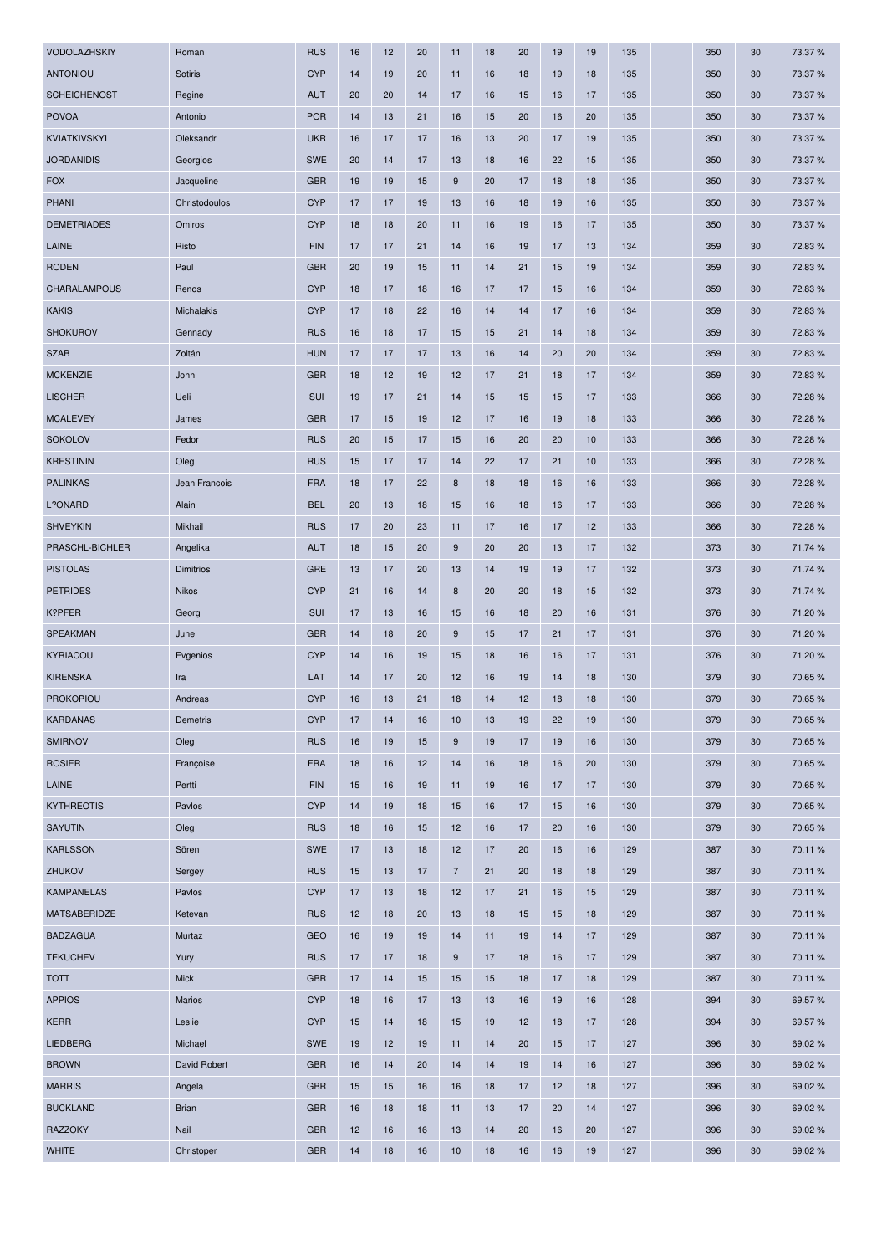| VODOLAZHSKIY        | Roman            | <b>RUS</b> | 16 | 12 | 20 | 11         | 18 | 20 | 19 | 19 | 135 | 350 | 30 | 73.37 % |
|---------------------|------------------|------------|----|----|----|------------|----|----|----|----|-----|-----|----|---------|
| <b>ANTONIOU</b>     | Sotiris          | <b>CYP</b> | 14 | 19 | 20 | 11         | 16 | 18 | 19 | 18 | 135 | 350 | 30 | 73.37 % |
| <b>SCHEICHENOST</b> | Regine           | <b>AUT</b> | 20 | 20 | 14 | 17         | 16 | 15 | 16 | 17 | 135 | 350 | 30 | 73.37 % |
| <b>POVOA</b>        | Antonio          | <b>POR</b> | 14 | 13 | 21 | 16         | 15 | 20 | 16 | 20 | 135 | 350 | 30 | 73.37 % |
| <b>KVIATKIVSKYI</b> | Oleksandr        | <b>UKR</b> | 16 | 17 | 17 | 16         | 13 | 20 | 17 | 19 | 135 | 350 | 30 | 73.37 % |
| <b>JORDANIDIS</b>   | Georgios         | <b>SWE</b> | 20 | 14 | 17 | 13         | 18 | 16 | 22 | 15 | 135 | 350 | 30 | 73.37 % |
| <b>FOX</b>          | Jacqueline       | <b>GBR</b> | 19 | 19 | 15 | 9          | 20 | 17 | 18 | 18 | 135 | 350 | 30 | 73.37 % |
| <b>PHANI</b>        | Christodoulos    | <b>CYP</b> | 17 | 17 | 19 | 13         | 16 | 18 | 19 | 16 | 135 | 350 | 30 | 73.37 % |
| <b>DEMETRIADES</b>  | Omiros           | <b>CYP</b> | 18 | 18 | 20 | 11         | 16 | 19 | 16 | 17 | 135 | 350 | 30 | 73.37 % |
| LAINE               | Risto            | <b>FIN</b> | 17 | 17 | 21 | 14         | 16 | 19 | 17 | 13 | 134 | 359 | 30 | 72.83%  |
| <b>RODEN</b>        | Paul             | <b>GBR</b> | 20 | 19 | 15 | 11         | 14 | 21 | 15 | 19 | 134 | 359 | 30 | 72.83%  |
| <b>CHARALAMPOUS</b> | Renos            | <b>CYP</b> | 18 | 17 | 18 | 16         | 17 | 17 | 15 | 16 | 134 | 359 | 30 | 72.83%  |
| <b>KAKIS</b>        | Michalakis       | <b>CYP</b> | 17 | 18 | 22 | 16         | 14 | 14 | 17 | 16 | 134 | 359 | 30 | 72.83%  |
| <b>SHOKUROV</b>     | Gennady          | <b>RUS</b> | 16 | 18 | 17 | 15         | 15 | 21 | 14 | 18 | 134 | 359 | 30 | 72.83%  |
| <b>SZAB</b>         | Zoltán           | <b>HUN</b> | 17 | 17 | 17 | 13         | 16 | 14 | 20 | 20 | 134 | 359 | 30 | 72.83%  |
| <b>MCKENZIE</b>     | John             | <b>GBR</b> | 18 | 12 | 19 | 12         | 17 | 21 | 18 | 17 | 134 | 359 | 30 | 72.83%  |
| <b>LISCHER</b>      | Ueli             | SUI        | 19 | 17 | 21 | 14         | 15 | 15 | 15 | 17 | 133 | 366 | 30 | 72.28 % |
| <b>MCALEVEY</b>     | James            | <b>GBR</b> | 17 | 15 | 19 | 12         | 17 | 16 | 19 | 18 | 133 | 366 | 30 | 72.28%  |
| <b>SOKOLOV</b>      | Fedor            | <b>RUS</b> | 20 | 15 | 17 | 15         | 16 | 20 | 20 | 10 | 133 | 366 | 30 | 72.28%  |
| <b>KRESTININ</b>    | Oleg             | <b>RUS</b> | 15 | 17 | 17 | 14         | 22 | 17 | 21 | 10 | 133 | 366 | 30 | 72.28 % |
| <b>PALINKAS</b>     | Jean Francois    | <b>FRA</b> | 18 | 17 | 22 | $\bf8$     | 18 | 18 | 16 | 16 | 133 | 366 | 30 | 72.28%  |
| L?ONARD             | Alain            | <b>BEL</b> | 20 | 13 | 18 | 15         | 16 | 18 | 16 | 17 | 133 | 366 | 30 | 72.28 % |
| <b>SHVEYKIN</b>     | Mikhail          | <b>RUS</b> | 17 | 20 | 23 | 11         | 17 | 16 | 17 | 12 | 133 | 366 | 30 | 72.28 % |
| PRASCHL-BICHLER     | Angelika         | <b>AUT</b> | 18 | 15 | 20 | $9\,$      | 20 | 20 | 13 | 17 | 132 | 373 | 30 | 71.74 % |
| <b>PISTOLAS</b>     | <b>Dimitrios</b> | <b>GRE</b> | 13 | 17 | 20 | 13         | 14 | 19 | 19 | 17 | 132 | 373 | 30 | 71.74 % |
| <b>PETRIDES</b>     | <b>Nikos</b>     | <b>CYP</b> | 21 | 16 | 14 | 8          | 20 | 20 | 18 | 15 | 132 | 373 | 30 | 71.74 % |
| K?PFER              | Georg            | SUI        | 17 | 13 | 16 | 15         | 16 | 18 | 20 | 16 | 131 | 376 | 30 | 71.20%  |
| <b>SPEAKMAN</b>     | June             | <b>GBR</b> | 14 | 18 | 20 | 9          | 15 | 17 | 21 | 17 | 131 | 376 | 30 | 71.20%  |
| KYRIACOU            | Evgenios         | <b>CYP</b> | 14 | 16 | 19 | 15         | 18 | 16 | 16 | 17 | 131 | 376 | 30 | 71.20%  |
| <b>KIRENSKA</b>     | Ira              | LAT        | 14 | 17 | 20 | 12         | 16 | 19 | 14 | 18 | 130 | 379 | 30 | 70.65%  |
| <b>PROKOPIOU</b>    | Andreas          | <b>CYP</b> | 16 | 13 | 21 | 18         | 14 | 12 | 18 | 18 | 130 | 379 | 30 | 70.65 % |
| <b>KARDANAS</b>     | Demetris         | <b>CYP</b> | 17 | 14 | 16 | 10         | 13 | 19 | 22 | 19 | 130 | 379 | 30 | 70.65 % |
| <b>SMIRNOV</b>      | Oleg             | <b>RUS</b> | 16 | 19 | 15 | $9\,$      | 19 | 17 | 19 | 16 | 130 | 379 | 30 | 70.65%  |
| <b>ROSIER</b>       | Françoise        | <b>FRA</b> | 18 | 16 | 12 | 14         | 16 | 18 | 16 | 20 | 130 | 379 | 30 | 70.65%  |
| LAINE               | Pertti           | <b>FIN</b> | 15 | 16 | 19 | 11         | 19 | 16 | 17 | 17 | 130 | 379 | 30 | 70.65%  |
| <b>KYTHREOTIS</b>   | Pavlos           | <b>CYP</b> | 14 | 19 | 18 | 15         | 16 | 17 | 15 | 16 | 130 | 379 | 30 | 70.65%  |
| SAYUTIN             | Oleg             | <b>RUS</b> | 18 | 16 | 15 | 12         | 16 | 17 | 20 | 16 | 130 | 379 | 30 | 70.65%  |
| <b>KARLSSON</b>     | Sören            | SWE        | 17 | 13 | 18 | 12         | 17 | 20 | 16 | 16 | 129 | 387 | 30 | 70.11%  |
| ZHUKOV              | Sergey           | <b>RUS</b> | 15 | 13 | 17 | $\sqrt{7}$ | 21 | 20 | 18 | 18 | 129 | 387 | 30 | 70.11%  |
| <b>KAMPANELAS</b>   | Pavlos           | <b>CYP</b> | 17 | 13 | 18 | 12         | 17 | 21 | 16 | 15 | 129 | 387 | 30 | 70.11%  |
| MATSABERIDZE        | Ketevan          | <b>RUS</b> | 12 | 18 | 20 | 13         | 18 | 15 | 15 | 18 | 129 | 387 | 30 | 70.11%  |
| <b>BADZAGUA</b>     | Murtaz           | <b>GEO</b> | 16 | 19 | 19 | 14         | 11 | 19 | 14 | 17 | 129 | 387 | 30 | 70.11%  |
| <b>TEKUCHEV</b>     | Yury             | <b>RUS</b> | 17 | 17 | 18 | $9\,$      | 17 | 18 | 16 | 17 | 129 | 387 | 30 | 70.11%  |
| <b>TOTT</b>         | Mick             | <b>GBR</b> | 17 | 14 | 15 | 15         | 15 | 18 | 17 | 18 | 129 | 387 | 30 | 70.11%  |
| <b>APPIOS</b>       | Marios           | <b>CYP</b> | 18 | 16 | 17 | 13         | 13 | 16 | 19 | 16 | 128 | 394 | 30 | 69.57%  |
| <b>KERR</b>         | Leslie           | <b>CYP</b> | 15 | 14 | 18 | 15         | 19 | 12 | 18 | 17 | 128 | 394 | 30 | 69.57%  |
| <b>LIEDBERG</b>     | Michael          | <b>SWE</b> | 19 | 12 | 19 | 11         | 14 | 20 | 15 | 17 | 127 | 396 | 30 | 69.02%  |
| <b>BROWN</b>        | David Robert     | <b>GBR</b> | 16 | 14 | 20 | 14         | 14 | 19 | 14 | 16 | 127 | 396 | 30 | 69.02%  |
| <b>MARRIS</b>       | Angela           | <b>GBR</b> | 15 | 15 | 16 | 16         | 18 | 17 | 12 | 18 | 127 | 396 | 30 | 69.02%  |
| <b>BUCKLAND</b>     | <b>Brian</b>     | <b>GBR</b> | 16 | 18 | 18 | 11         | 13 | 17 | 20 | 14 | 127 | 396 | 30 | 69.02%  |
| <b>RAZZOKY</b>      | Nail             | <b>GBR</b> | 12 | 16 | 16 | 13         | 14 | 20 | 16 | 20 | 127 | 396 | 30 | 69.02%  |
| <b>WHITE</b>        | Christoper       | <b>GBR</b> | 14 | 18 | 16 | 10         | 18 | 16 | 16 | 19 | 127 | 396 | 30 | 69.02%  |
|                     |                  |            |    |    |    |            |    |    |    |    |     |     |    |         |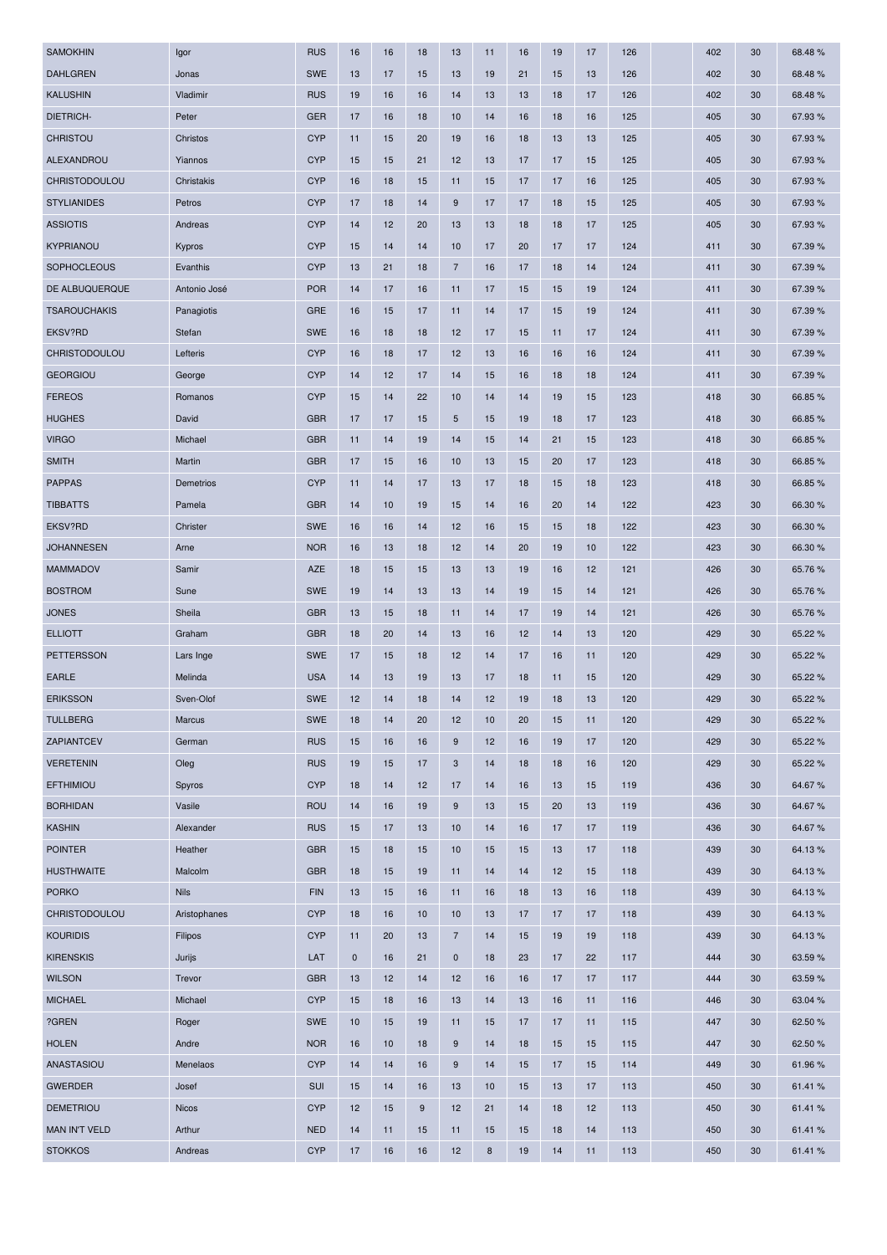| <b>SAMOKHIN</b>      | Igor         | <b>RUS</b> | 16        | 16 | 18 | 13                        | 11 | 16 | 19 | 17 | 126 | 402 | 30 | 68.48%  |
|----------------------|--------------|------------|-----------|----|----|---------------------------|----|----|----|----|-----|-----|----|---------|
| <b>DAHLGREN</b>      | Jonas        | <b>SWE</b> | 13        | 17 | 15 | 13                        | 19 | 21 | 15 | 13 | 126 | 402 | 30 | 68.48%  |
| <b>KALUSHIN</b>      | Vladimir     | <b>RUS</b> | 19        | 16 | 16 | 14                        | 13 | 13 | 18 | 17 | 126 | 402 | 30 | 68.48%  |
| <b>DIETRICH-</b>     | Peter        | <b>GER</b> | 17        | 16 | 18 | 10                        | 14 | 16 | 18 | 16 | 125 | 405 | 30 | 67.93 % |
| <b>CHRISTOU</b>      | Christos     | <b>CYP</b> | 11        | 15 | 20 | 19                        | 16 | 18 | 13 | 13 | 125 | 405 | 30 | 67.93%  |
| ALEXANDROU           | Yiannos      | <b>CYP</b> | 15        | 15 | 21 | 12                        | 13 | 17 | 17 | 15 | 125 | 405 | 30 | 67.93 % |
| CHRISTODOULOU        | Christakis   | <b>CYP</b> | 16        | 18 | 15 | 11                        | 15 | 17 | 17 | 16 | 125 | 405 | 30 | 67.93%  |
| <b>STYLIANIDES</b>   | Petros       | <b>CYP</b> | 17        | 18 | 14 | 9                         | 17 | 17 | 18 | 15 | 125 | 405 | 30 | 67.93%  |
| <b>ASSIOTIS</b>      | Andreas      | <b>CYP</b> | 14        | 12 | 20 | 13                        | 13 | 18 | 18 | 17 | 125 | 405 | 30 | 67.93 % |
| KYPRIANOU            | Kypros       | <b>CYP</b> | 15        | 14 | 14 | 10                        | 17 | 20 | 17 | 17 | 124 | 411 | 30 | 67.39%  |
| <b>SOPHOCLEOUS</b>   | Evanthis     | <b>CYP</b> | 13        | 21 | 18 | $\overline{7}$            | 16 | 17 | 18 | 14 | 124 | 411 | 30 | 67.39%  |
| DE ALBUQUERQUE       | Antonio José | <b>POR</b> | 14        | 17 | 16 | 11                        | 17 | 15 | 15 | 19 | 124 | 411 | 30 | 67.39 % |
| <b>TSAROUCHAKIS</b>  | Panagiotis   | <b>GRE</b> | 16        | 15 | 17 | 11                        | 14 | 17 | 15 | 19 | 124 | 411 | 30 | 67.39%  |
| EKSV?RD              | Stefan       | <b>SWE</b> | 16        | 18 | 18 | 12                        | 17 | 15 | 11 | 17 | 124 | 411 | 30 | 67.39%  |
| <b>CHRISTODOULOU</b> | Lefteris     | <b>CYP</b> | 16        | 18 | 17 | 12                        | 13 | 16 | 16 | 16 | 124 | 411 | 30 | 67.39%  |
| <b>GEORGIOU</b>      | George       | <b>CYP</b> | 14        | 12 | 17 | 14                        | 15 | 16 | 18 | 18 | 124 | 411 | 30 | 67.39 % |
| <b>FEREOS</b>        | Romanos      | <b>CYP</b> | 15        | 14 | 22 | 10                        | 14 | 14 | 19 | 15 | 123 | 418 | 30 | 66.85%  |
| <b>HUGHES</b>        | David        | <b>GBR</b> | 17        | 17 | 15 | 5                         | 15 | 19 | 18 | 17 | 123 | 418 | 30 | 66.85 % |
| <b>VIRGO</b>         | Michael      | <b>GBR</b> | 11        | 14 | 19 | 14                        | 15 | 14 | 21 | 15 | 123 | 418 | 30 | 66.85%  |
| <b>SMITH</b>         | Martin       | <b>GBR</b> | 17        | 15 | 16 | 10                        | 13 | 15 | 20 | 17 | 123 | 418 | 30 | 66.85%  |
| <b>PAPPAS</b>        | Demetrios    | <b>CYP</b> | 11        | 14 | 17 | 13                        | 17 | 18 | 15 | 18 | 123 | 418 | 30 | 66.85 % |
| <b>TIBBATTS</b>      | Pamela       | <b>GBR</b> | 14        | 10 | 19 | 15                        | 14 | 16 | 20 | 14 | 122 | 423 | 30 | 66.30 % |
| EKSV?RD              | Christer     | <b>SWE</b> | 16        | 16 | 14 | 12                        | 16 | 15 | 15 | 18 | 122 | 423 | 30 | 66.30 % |
| <b>JOHANNESEN</b>    | Arne         | <b>NOR</b> | 16        | 13 | 18 | 12                        | 14 | 20 | 19 | 10 | 122 | 423 | 30 | 66.30 % |
| <b>MAMMADOV</b>      | Samir        | AZE        | 18        | 15 | 15 | 13                        | 13 | 19 | 16 | 12 | 121 | 426 | 30 | 65.76%  |
| <b>BOSTROM</b>       | Sune         | <b>SWE</b> | 19        | 14 | 13 | 13                        | 14 | 19 | 15 | 14 | 121 | 426 | 30 | 65.76 % |
| <b>JONES</b>         | Sheila       | <b>GBR</b> | 13        | 15 | 18 | 11                        | 14 | 17 | 19 | 14 | 121 | 426 | 30 | 65.76%  |
| <b>ELLIOTT</b>       | Graham       | <b>GBR</b> | 18        | 20 | 14 | 13                        | 16 | 12 | 14 | 13 | 120 | 429 | 30 | 65.22 % |
| <b>PETTERSSON</b>    | Lars Inge    | <b>SWE</b> | 17        | 15 | 18 | 12                        | 14 | 17 | 16 | 11 | 120 | 429 | 30 | 65.22 % |
| <b>EARLE</b>         | Melinda      | <b>USA</b> | 14        | 13 | 19 | 13                        | 17 | 18 | 11 | 15 | 120 | 429 | 30 | 65.22 % |
| <b>ERIKSSON</b>      | Sven-Olof    | <b>SWE</b> | 12        | 14 | 18 | 14                        | 12 | 19 | 18 | 13 | 120 | 429 | 30 | 65.22 % |
| <b>TULLBERG</b>      | Marcus       | <b>SWE</b> | 18        | 14 | 20 | 12                        | 10 | 20 | 15 | 11 | 120 | 429 | 30 | 65.22 % |
| ZAPIANTCEV           | German       | <b>RUS</b> | 15        | 16 | 16 | $9\,$                     | 12 | 16 | 19 | 17 | 120 | 429 | 30 | 65.22 % |
| <b>VERETENIN</b>     | Oleg         | <b>RUS</b> | 19        | 15 | 17 | $\ensuremath{\mathsf{3}}$ | 14 | 18 | 18 | 16 | 120 | 429 | 30 | 65.22 % |
| <b>EFTHIMIOU</b>     | Spyros       | <b>CYP</b> | 18        | 14 | 12 | 17                        | 14 | 16 | 13 | 15 | 119 | 436 | 30 | 64.67%  |
| <b>BORHIDAN</b>      | Vasile       | <b>ROU</b> | 14        | 16 | 19 | $9\,$                     | 13 | 15 | 20 | 13 | 119 | 436 | 30 | 64.67%  |
| <b>KASHIN</b>        | Alexander    | <b>RUS</b> | 15        | 17 | 13 | 10                        | 14 | 16 | 17 | 17 | 119 | 436 | 30 | 64.67%  |
| <b>POINTER</b>       | Heather      | <b>GBR</b> | 15        | 18 | 15 | 10                        | 15 | 15 | 13 | 17 | 118 | 439 | 30 | 64.13%  |
| <b>HUSTHWAITE</b>    | Malcolm      | <b>GBR</b> | 18        | 15 | 19 | 11                        | 14 | 14 | 12 | 15 | 118 | 439 | 30 | 64.13%  |
| <b>PORKO</b>         | <b>Nils</b>  | <b>FIN</b> | 13        | 15 | 16 | 11                        | 16 | 18 | 13 | 16 | 118 | 439 | 30 | 64.13%  |
| CHRISTODOULOU        | Aristophanes | <b>CYP</b> | 18        | 16 | 10 | 10                        | 13 | 17 | 17 | 17 | 118 | 439 | 30 | 64.13%  |
| <b>KOURIDIS</b>      | Filipos      | <b>CYP</b> | 11        | 20 | 13 | $\overline{7}$            | 14 | 15 | 19 | 19 | 118 | 439 | 30 | 64.13%  |
| <b>KIRENSKIS</b>     | Jurijs       | LAT        | $\pmb{0}$ | 16 | 21 | $\pmb{0}$                 | 18 | 23 | 17 | 22 | 117 | 444 | 30 | 63.59%  |
| <b>WILSON</b>        | Trevor       | <b>GBR</b> | 13        | 12 | 14 | 12                        | 16 | 16 | 17 | 17 | 117 | 444 | 30 | 63.59%  |
| <b>MICHAEL</b>       | Michael      | <b>CYP</b> | 15        | 18 | 16 | 13                        | 14 | 13 | 16 | 11 | 116 | 446 | 30 | 63.04 % |
| ?GREN                | Roger        | SWE        | 10        | 15 | 19 | 11                        | 15 | 17 | 17 | 11 | 115 | 447 | 30 | 62.50 % |
| <b>HOLEN</b>         | Andre        | <b>NOR</b> | 16        | 10 | 18 | $9\,$                     | 14 | 18 | 15 | 15 | 115 | 447 | 30 | 62.50 % |
| ANASTASIOU           | Menelaos     | <b>CYP</b> | 14        | 14 | 16 | $9\,$                     | 14 | 15 | 17 | 15 | 114 | 449 | 30 | 61.96%  |
| <b>GWERDER</b>       | Josef        | SUI        | 15        | 14 | 16 | 13                        | 10 | 15 | 13 | 17 | 113 | 450 | 30 | 61.41%  |
| <b>DEMETRIOU</b>     | <b>Nicos</b> | <b>CYP</b> | 12        | 15 | 9  | 12                        | 21 | 14 | 18 | 12 | 113 | 450 | 30 | 61.41%  |
| <b>MAN IN'T VELD</b> | Arthur       | <b>NED</b> | 14        | 11 | 15 | 11                        | 15 | 15 | 18 | 14 | 113 | 450 | 30 | 61.41%  |
| <b>STOKKOS</b>       | Andreas      | <b>CYP</b> | 17        | 16 | 16 | 12                        | 8  | 19 | 14 | 11 | 113 | 450 | 30 | 61.41%  |
|                      |              |            |           |    |    |                           |    |    |    |    |     |     |    |         |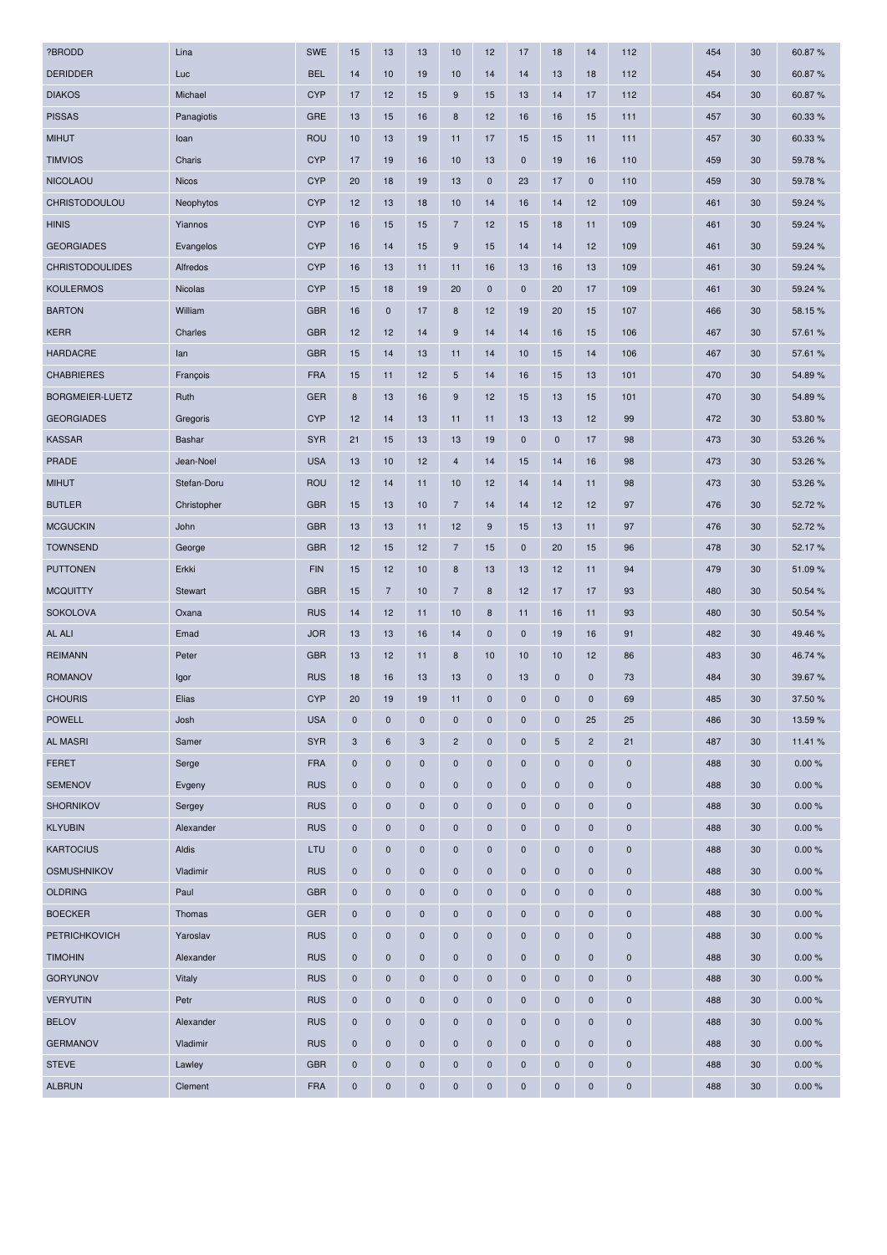| ?BRODD                 | Lina         | <b>SWE</b> | 15           | 13             | 13           | 10               | 12          | 17          | 18          | 14             | 112         | 454 | 30 | 60.87%  |
|------------------------|--------------|------------|--------------|----------------|--------------|------------------|-------------|-------------|-------------|----------------|-------------|-----|----|---------|
| <b>DERIDDER</b>        | Luc          | <b>BEL</b> | 14           | 10             | 19           | 10               | 14          | 14          | 13          | 18             | 112         | 454 | 30 | 60.87%  |
| <b>DIAKOS</b>          | Michael      | <b>CYP</b> | 17           | 12             | 15           | 9                | 15          | 13          | 14          | 17             | 112         | 454 | 30 | 60.87%  |
| <b>PISSAS</b>          | Panagiotis   | <b>GRE</b> | 13           | 15             | 16           | 8                | 12          | 16          | 16          | 15             | 111         | 457 | 30 | 60.33 % |
| <b>MIHUT</b>           | loan         | <b>ROU</b> | 10           | 13             | 19           | 11               | 17          | 15          | 15          | 11             | 111         | 457 | 30 | 60.33%  |
| <b>TIMVIOS</b>         | Charis       | <b>CYP</b> | 17           | 19             | 16           | 10               | 13          | $\pmb{0}$   | 19          | 16             | 110         | 459 | 30 | 59.78%  |
| <b>NICOLAOU</b>        | <b>Nicos</b> | <b>CYP</b> | 20           | 18             | 19           | 13               | $\mathbf 0$ | 23          | 17          | $\mathbf 0$    | 110         | 459 | 30 | 59.78%  |
| CHRISTODOULOU          | Neophytos    | <b>CYP</b> | 12           | 13             | 18           | 10               | 14          | 16          | 14          | 12             | 109         | 461 | 30 | 59.24 % |
| <b>HINIS</b>           | Yiannos      | <b>CYP</b> | 16           | 15             | 15           | $\overline{7}$   | 12          | 15          | 18          | 11             | 109         | 461 | 30 | 59.24 % |
| <b>GEORGIADES</b>      | Evangelos    | <b>CYP</b> | 16           | 14             | 15           | $9\,$            | 15          | 14          | 14          | 12             | 109         | 461 | 30 | 59.24 % |
| <b>CHRISTODOULIDES</b> | Alfredos     | <b>CYP</b> | 16           | 13             | 11           | 11               | 16          | 13          | 16          | 13             | 109         | 461 | 30 | 59.24 % |
| <b>KOULERMOS</b>       | Nicolas      | <b>CYP</b> | 15           | 18             | 19           | 20               | $\mathbf 0$ | $\pmb{0}$   | 20          | 17             | 109         | 461 | 30 | 59.24 % |
| <b>BARTON</b>          | William      | <b>GBR</b> | 16           | $\pmb{0}$      | 17           | $\boldsymbol{8}$ | 12          | 19          | 20          | 15             | 107         | 466 | 30 | 58.15%  |
| <b>KERR</b>            | Charles      | <b>GBR</b> | 12           | 12             | 14           | 9                | 14          | 14          | 16          | 15             | 106         | 467 | 30 | 57.61 % |
| <b>HARDACRE</b>        | lan          | <b>GBR</b> | 15           | 14             | 13           | 11               | 14          | 10          | 15          | 14             | 106         | 467 | 30 | 57.61 % |
| <b>CHABRIERES</b>      | François     | <b>FRA</b> | 15           | 11             | 12           | $\overline{5}$   | 14          | 16          | 15          | 13             | 101         | 470 | 30 | 54.89%  |
| <b>BORGMEIER-LUETZ</b> | Ruth         | <b>GER</b> | 8            | 13             | 16           | 9                | 12          | 15          | 13          | 15             | 101         | 470 | 30 | 54.89%  |
| <b>GEORGIADES</b>      | Gregoris     | <b>CYP</b> | 12           | 14             | 13           | 11               | 11          | 13          | 13          | 12             | 99          | 472 | 30 | 53.80 % |
| <b>KASSAR</b>          | Bashar       | <b>SYR</b> | 21           | 15             | 13           | 13               | 19          | $\pmb{0}$   | $\pmb{0}$   | 17             | 98          | 473 | 30 | 53.26 % |
| <b>PRADE</b>           | Jean-Noel    | <b>USA</b> | 13           | 10             | 12           | $\overline{4}$   | 14          | 15          | 14          | 16             | 98          | 473 | 30 | 53.26 % |
| <b>MIHUT</b>           | Stefan-Doru  | <b>ROU</b> | 12           | 14             | 11           | 10               | 12          | 14          | 14          | 11             | 98          | 473 | 30 | 53.26 % |
| <b>BUTLER</b>          | Christopher  | <b>GBR</b> | 15           | 13             | 10           | $\overline{7}$   | 14          | 14          | 12          | 12             | 97          | 476 | 30 | 52.72%  |
| <b>MCGUCKIN</b>        | John         | <b>GBR</b> | 13           | 13             | 11           | 12               | 9           | 15          | 13          | 11             | 97          | 476 | 30 | 52.72%  |
| <b>TOWNSEND</b>        | George       | <b>GBR</b> | 12           | 15             | 12           | $\overline{7}$   | 15          | $\pmb{0}$   | 20          | 15             | 96          | 478 | 30 | 52.17%  |
| <b>PUTTONEN</b>        | Erkki        | <b>FIN</b> | 15           | 12             | 10           | 8                | 13          | 13          | 12          | 11             | 94          | 479 | 30 | 51.09%  |
| <b>MCQUITTY</b>        | Stewart      | <b>GBR</b> | 15           | $\overline{7}$ | 10           | $\overline{7}$   | 8           | 12          | 17          | 17             | 93          | 480 | 30 | 50.54 % |
| <b>SOKOLOVA</b>        | Oxana        | <b>RUS</b> | 14           | 12             | 11           | 10               | 8           | 11          | 16          | 11             | 93          | 480 | 30 | 50.54 % |
| AL ALI                 | Emad         | <b>JOR</b> | 13           | 13             | 16           | 14               | $\mathbf 0$ | $\pmb{0}$   | 19          | 16             | 91          | 482 | 30 | 49.46%  |
| <b>REIMANN</b>         | Peter        | <b>GBR</b> | 13           | 12             | 11           | 8                | 10          | 10          | 10          | 12             | 86          | 483 | 30 | 46.74 % |
| <b>ROMANOV</b>         | Igor         | <b>RUS</b> | 18           | 16             | 13           | 13               | $\mathbf 0$ | 13          | 0           | $\mathbf 0$    | 73          | 484 | 30 | 39.67%  |
| <b>CHOURIS</b>         | Elias        | <b>CYP</b> | 20           | 19             | 19           | 11               | $\mathbf 0$ | $\mathbf 0$ | 0           | $\mathbf 0$    | 69          | 485 | 30 | 37.50 % |
| <b>POWELL</b>          | Josh         | <b>USA</b> | $\bf{0}$     | $\mathbf 0$    | $\bf{0}$     | $\mathbf 0$      | $\mathbf 0$ | $\pmb{0}$   | $\mathbf 0$ | 25             | 25          | 486 | 30 | 13.59 % |
| <b>AL MASRI</b>        | Samer        | <b>SYR</b> | $\mathbf{3}$ | $\,6\,$        | 3            | $\overline{c}$   | $\mathbf 0$ | $\pmb{0}$   | 5           | $\overline{2}$ | 21          | 487 | 30 | 11.41%  |
| <b>FERET</b>           | Serge        | <b>FRA</b> | $\mathbf 0$  | $\pmb{0}$      | 0            | $\mathbf 0$      | $\mathbf 0$ | $\pmb{0}$   | $\bf{0}$    | $\mathbf 0$    | $\mathbf 0$ | 488 | 30 | 0.00%   |
| <b>SEMENOV</b>         | Evgeny       | <b>RUS</b> | $\mathbf 0$  | $\mathbf 0$    | $\mathbf{0}$ | $\mathbf 0$      | $\mathbf 0$ | $\mathbf 0$ | 0           | $\mathbf 0$    | 0           | 488 | 30 | 0.00%   |
| <b>SHORNIKOV</b>       | Sergey       | <b>RUS</b> | $\pmb{0}$    | $\mathbf 0$    | $\pmb{0}$    | $\mathbf 0$      | $\mathbf 0$ | $\pmb{0}$   | 0           | $\mathbf 0$    | $\mathbf 0$ | 488 | 30 | 0.00%   |
| <b>KLYUBIN</b>         | Alexander    | <b>RUS</b> | $\mathbf 0$  | $\mathbf 0$    | 0            | $\mathbf 0$      | $\mathbf 0$ | $\pmb{0}$   | $\bf{0}$    | $\mathbf 0$    | $\mathbf 0$ | 488 | 30 | 0.00%   |
| <b>KARTOCIUS</b>       | Aldis        | LTU        | $\mathbf 0$  | $\mathbf 0$    | $\mathbf 0$  | $\mathbf 0$      | $\mathbf 0$ | $\pmb{0}$   | 0           | $\mathbf 0$    | $\mathbf 0$ | 488 | 30 | 0.00%   |
| <b>OSMUSHNIKOV</b>     | Vladimir     | <b>RUS</b> | $\mathbf 0$  | $\mathbf 0$    | $\bf{0}$     | $\mathbf 0$      | $\mathbf 0$ | $\pmb{0}$   | $\mathbf 0$ | $\mathbf 0$    | $\pmb{0}$   | 488 | 30 | 0.00%   |
| <b>OLDRING</b>         | Paul         | <b>GBR</b> | $\mathbf 0$  | $\pmb{0}$      | $\mathbf{0}$ | $\mathbf 0$      | $\mathbf 0$ | $\mathbf 0$ | 0           | $\mathbf 0$    | 0           | 488 | 30 | 0.00%   |
| <b>BOECKER</b>         | Thomas       | <b>GER</b> | $\pmb{0}$    | $\pmb{0}$      | 0            | $\mathbf 0$      | $\mathbf 0$ | $\pmb{0}$   | $\pmb{0}$   | $\mathbf 0$    | $\pmb{0}$   | 488 | 30 | 0.00%   |
| <b>PETRICHKOVICH</b>   | Yaroslav     | <b>RUS</b> | $\pmb{0}$    | $\pmb{0}$      | $\bf{0}$     | $\mathbf 0$      | $\mathbf 0$ | $\pmb{0}$   | $\mathbf 0$ | $\mathbf 0$    | $\mathbf 0$ | 488 | 30 | 0.00%   |
| <b>TIMOHIN</b>         | Alexander    | <b>RUS</b> | $\mathbf 0$  | $\mathbf 0$    | $\mathbf 0$  | $\mathbf 0$      | $\mathbf 0$ | $\mathbf 0$ | 0           | $\mathbf 0$    | 0           | 488 | 30 | 0.00%   |
| <b>GORYUNOV</b>        | Vitaly       | <b>RUS</b> | $\mathbf 0$  | $\mathbf 0$    | $\bf{0}$     | $\mathbf 0$      | $\mathbf 0$ | $\pmb{0}$   | $\mathbf 0$ | $\mathbf 0$    | $\pmb{0}$   | 488 | 30 | 0.00%   |
| <b>VERYUTIN</b>        | Petr         | <b>RUS</b> | $\mathbf 0$  | $\mathbf 0$    | $\mathbf 0$  | $\mathbf 0$      | $\mathbf 0$ | $\pmb{0}$   | 0           | $\mathbf 0$    | $\mathbf 0$ | 488 | 30 | 0.00%   |
| <b>BELOV</b>           | Alexander    | <b>RUS</b> | $\mathbf 0$  | $\mathbf 0$    | $\mathbf 0$  | $\mathbf 0$      | $\mathbf 0$ | $\mathbf 0$ | 0           | $\mathbf 0$    | 0           | 488 | 30 | 0.00%   |
| <b>GERMANOV</b>        | Vladimir     | <b>RUS</b> | $\pmb{0}$    | $\pmb{0}$      | $\bf{0}$     | $\mathbf 0$      | $\mathbf 0$ | $\pmb{0}$   | $\pmb{0}$   | $\mathbf 0$    | $\mathbf 0$ | 488 | 30 | 0.00%   |
| <b>STEVE</b>           | Lawley       | <b>GBR</b> | $\mathbf 0$  | $\mathbf 0$    | $\pmb{0}$    | $\mathbf 0$      | $\mathbf 0$ | $\pmb{0}$   | 0           | $\mathbf 0$    | 0           | 488 | 30 | 0.00%   |
| <b>ALBRUN</b>          | Clement      | <b>FRA</b> | $\pmb{0}$    | $\pmb{0}$      | $\pmb{0}$    | $\pmb{0}$        | $\mathbf 0$ | $\pmb{0}$   | $\pmb{0}$   | $\mathbf 0$    | 0           | 488 | 30 | 0.00%   |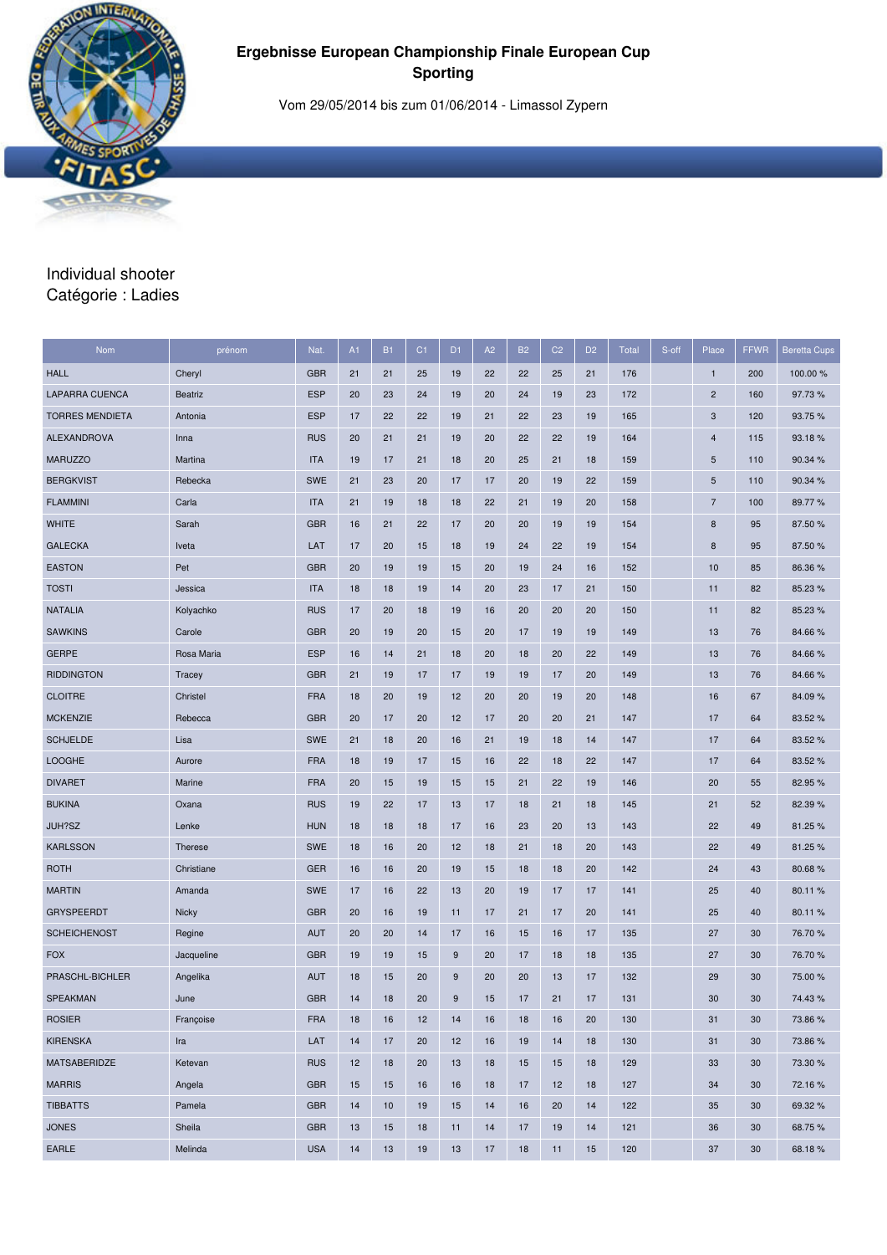

Vom 29/05/2014 bis zum 01/06/2014 - Limassol Zypern

#### Individual shooter Catégorie : Ladies

| <b>Nom</b>             | prénom         | Nat.       | A1 | <b>B1</b> | C <sub>1</sub> | D <sub>1</sub> | A <sub>2</sub> | <b>B2</b> | C <sub>2</sub> | D <sub>2</sub> | <b>Total</b> | S-off | Place          | <b>FFWR</b> | <b>Beretta Cups</b> |
|------------------------|----------------|------------|----|-----------|----------------|----------------|----------------|-----------|----------------|----------------|--------------|-------|----------------|-------------|---------------------|
| <b>HALL</b>            | Cheryl         | <b>GBR</b> | 21 | 21        | 25             | 19             | 22             | 22        | 25             | 21             | 176          |       | $\mathbf{1}$   | 200         | 100.00 %            |
| <b>LAPARRA CUENCA</b>  | <b>Beatriz</b> | <b>ESP</b> | 20 | 23        | 24             | 19             | 20             | 24        | 19             | 23             | 172          |       | $\overline{c}$ | 160         | 97.73%              |
| <b>TORRES MENDIETA</b> | Antonia        | <b>ESP</b> | 17 | 22        | 22             | 19             | 21             | 22        | 23             | 19             | 165          |       | 3              | 120         | 93.75%              |
| <b>ALEXANDROVA</b>     | Inna           | <b>RUS</b> | 20 | 21        | 21             | 19             | 20             | 22        | 22             | 19             | 164          |       | 4              | 115         | 93.18%              |
| <b>MARUZZO</b>         | Martina        | <b>ITA</b> | 19 | 17        | 21             | 18             | 20             | 25        | 21             | 18             | 159          |       | 5              | 110         | 90.34 %             |
| <b>BERGKVIST</b>       | Rebecka        | <b>SWE</b> | 21 | 23        | 20             | 17             | 17             | 20        | 19             | 22             | 159          |       | 5              | 110         | 90.34 %             |
| <b>FLAMMINI</b>        | Carla          | <b>ITA</b> | 21 | 19        | 18             | 18             | 22             | 21        | 19             | 20             | 158          |       | $\overline{7}$ | 100         | 89.77%              |
| <b>WHITE</b>           | Sarah          | <b>GBR</b> | 16 | 21        | 22             | 17             | 20             | 20        | 19             | 19             | 154          |       | 8              | 95          | 87.50 %             |
| <b>GALECKA</b>         | Iveta          | LAT        | 17 | 20        | 15             | 18             | 19             | 24        | 22             | 19             | 154          |       | 8              | 95          | 87.50 %             |
| <b>EASTON</b>          | Pet            | <b>GBR</b> | 20 | 19        | 19             | 15             | 20             | 19        | 24             | 16             | 152          |       | 10             | 85          | 86.36 %             |
| <b>TOSTI</b>           | Jessica        | <b>ITA</b> | 18 | 18        | 19             | 14             | 20             | 23        | 17             | 21             | 150          |       | 11             | 82          | 85.23 %             |
| <b>NATALIA</b>         | Kolyachko      | <b>RUS</b> | 17 | 20        | 18             | 19             | 16             | 20        | 20             | 20             | 150          |       | 11             | 82          | 85.23 %             |
| <b>SAWKINS</b>         | Carole         | <b>GBR</b> | 20 | 19        | 20             | 15             | 20             | 17        | 19             | 19             | 149          |       | 13             | 76          | 84.66%              |
| <b>GERPE</b>           | Rosa Maria     | <b>ESP</b> | 16 | 14        | 21             | 18             | 20             | 18        | 20             | 22             | 149          |       | 13             | 76          | 84.66%              |
| <b>RIDDINGTON</b>      | Tracey         | <b>GBR</b> | 21 | 19        | 17             | 17             | 19             | 19        | 17             | 20             | 149          |       | 13             | 76          | 84.66%              |
| <b>CLOITRE</b>         | Christel       | <b>FRA</b> | 18 | 20        | 19             | 12             | 20             | 20        | 19             | 20             | 148          |       | 16             | 67          | 84.09%              |
| <b>MCKENZIE</b>        | Rebecca        | <b>GBR</b> | 20 | 17        | 20             | 12             | 17             | 20        | 20             | 21             | 147          |       | 17             | 64          | 83.52%              |
| <b>SCHJELDE</b>        | Lisa           | <b>SWE</b> | 21 | 18        | 20             | 16             | 21             | 19        | 18             | 14             | 147          |       | 17             | 64          | 83.52 %             |
| <b>LOOGHE</b>          | Aurore         | <b>FRA</b> | 18 | 19        | 17             | 15             | 16             | 22        | 18             | 22             | 147          |       | 17             | 64          | 83.52%              |
| <b>DIVARET</b>         | Marine         | <b>FRA</b> | 20 | 15        | 19             | 15             | 15             | 21        | 22             | 19             | 146          |       | 20             | 55          | 82.95 %             |
| <b>BUKINA</b>          | Oxana          | <b>RUS</b> | 19 | 22        | 17             | 13             | 17             | 18        | 21             | 18             | 145          |       | 21             | 52          | 82.39%              |
| JUH?SZ                 | Lenke          | <b>HUN</b> | 18 | 18        | 18             | 17             | 16             | 23        | 20             | 13             | 143          |       | 22             | 49          | 81.25%              |
| <b>KARLSSON</b>        | <b>Therese</b> | <b>SWE</b> | 18 | 16        | 20             | 12             | 18             | 21        | 18             | 20             | 143          |       | 22             | 49          | 81.25%              |
| <b>ROTH</b>            | Christiane     | <b>GER</b> | 16 | 16        | 20             | 19             | 15             | 18        | 18             | 20             | 142          |       | 24             | 43          | 80.68%              |
| <b>MARTIN</b>          | Amanda         | <b>SWE</b> | 17 | 16        | 22             | 13             | 20             | 19        | 17             | 17             | 141          |       | 25             | 40          | 80.11%              |
| <b>GRYSPEERDT</b>      | Nicky          | <b>GBR</b> | 20 | 16        | 19             | 11             | 17             | 21        | 17             | 20             | 141          |       | 25             | 40          | 80.11%              |
| <b>SCHEICHENOST</b>    | Regine         | <b>AUT</b> | 20 | 20        | 14             | 17             | 16             | 15        | 16             | 17             | 135          |       | 27             | 30          | 76.70%              |
| <b>FOX</b>             | Jacqueline     | <b>GBR</b> | 19 | 19        | 15             | 9              | 20             | 17        | 18             | 18             | 135          |       | 27             | 30          | 76.70 %             |
| PRASCHL-BICHLER        | Angelika       | <b>AUT</b> | 18 | 15        | 20             | 9              | 20             | 20        | 13             | 17             | 132          |       | 29             | 30          | 75.00 %             |
| <b>SPEAKMAN</b>        | June           | <b>GBR</b> | 14 | 18        | 20             | 9              | 15             | 17        | 21             | 17             | 131          |       | 30             | 30          | 74.43%              |
| <b>ROSIER</b>          | Françoise      | <b>FRA</b> | 18 | 16        | 12             | 14             | 16             | 18        | 16             | 20             | 130          |       | 31             | 30          | 73.86%              |
| <b>KIRENSKA</b>        | Ira            | LAT        | 14 | 17        | 20             | 12             | 16             | 19        | 14             | 18             | 130          |       | 31             | 30          | 73.86%              |
| MATSABERIDZE           | Ketevan        | <b>RUS</b> | 12 | 18        | 20             | 13             | 18             | 15        | 15             | 18             | 129          |       | 33             | 30          | 73.30 %             |
| <b>MARRIS</b>          | Angela         | <b>GBR</b> | 15 | 15        | 16             | 16             | 18             | 17        | 12             | 18             | 127          |       | 34             | 30          | 72.16%              |
| <b>TIBBATTS</b>        | Pamela         | <b>GBR</b> | 14 | 10        | 19             | 15             | 14             | 16        | 20             | 14             | 122          |       | 35             | 30          | 69.32%              |
| <b>JONES</b>           | Sheila         | <b>GBR</b> | 13 | 15        | 18             | 11             | 14             | 17        | 19             | 14             | 121          |       | 36             | 30          | 68.75%              |
| EARLE                  | Melinda        | <b>USA</b> | 14 | 13        | 19             | 13             | 17             | 18        | 11             | 15             | 120          |       | 37             | 30          | 68.18%              |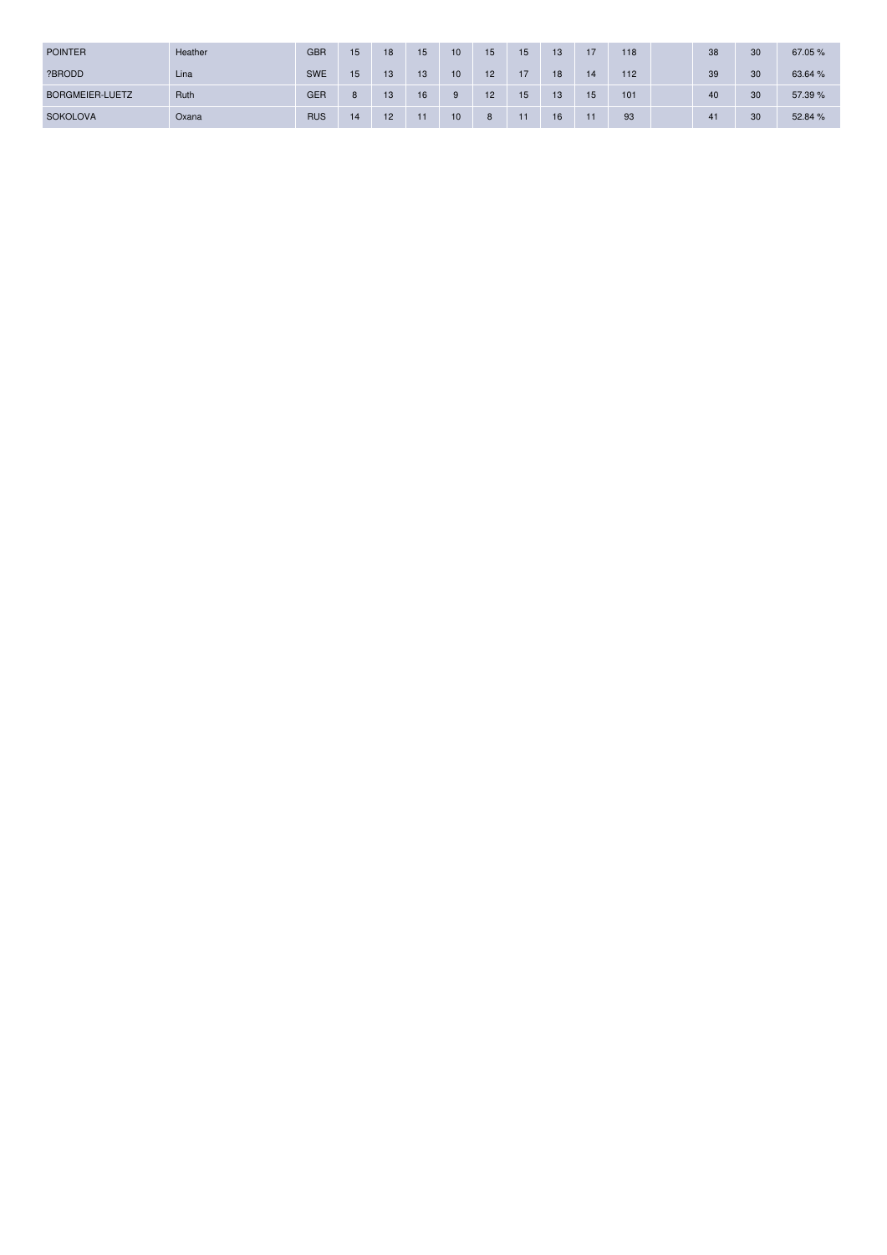| <b>POINTER</b>  | Heather | <b>GBR</b> | 15 | 18 | 15 | 10 | 15              | 15              | 13 | 17 | 118 | 38 | 30 | 67.05 % |
|-----------------|---------|------------|----|----|----|----|-----------------|-----------------|----|----|-----|----|----|---------|
| ?BRODD          | Lina    | <b>SWE</b> | 15 | 13 | 13 | 10 | 12 <sup>2</sup> | 17              | 18 | 14 | 112 | 39 | 30 | 63.64 % |
| BORGMEIER-LUETZ | Ruth    | <b>GER</b> |    | 13 | 16 | 9  | 12              | 15 <sup>1</sup> | 13 | 15 | 101 | 40 | 30 | 57.39 % |
| <b>SOKOLOVA</b> | Oxana   | <b>RUS</b> | 14 | 12 | 11 | 10 | 8               | 11              | 16 | 11 | 93  | 41 | 30 | 52.84 % |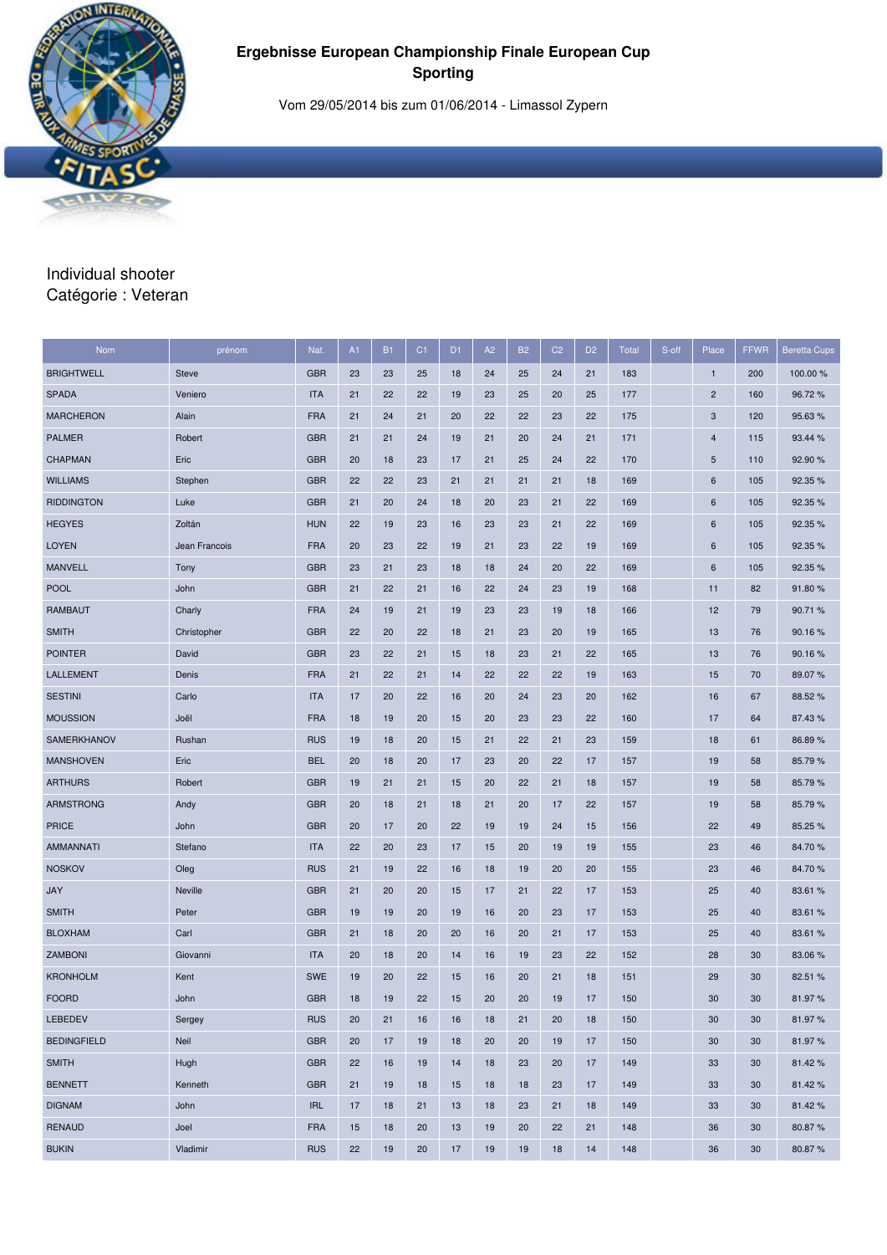

Vom 29/05/2014 bis zum 01/06/2014 - Limassol Zypern

#### Individual shooter Catégorie : Veteran

| <b>Nom</b>         | prénom        | Nat.       | A1 | <b>B1</b> | C <sub>1</sub> | D <sub>1</sub> | A <sub>2</sub> | <b>B2</b> | C <sub>2</sub> | D <sub>2</sub> | <b>Total</b> | S-off | Place           | <b>FFWR</b> | <b>Beretta Cups</b> |
|--------------------|---------------|------------|----|-----------|----------------|----------------|----------------|-----------|----------------|----------------|--------------|-------|-----------------|-------------|---------------------|
| <b>BRIGHTWELL</b>  | <b>Steve</b>  | <b>GBR</b> | 23 | 23        | 25             | 18             | 24             | 25        | 24             | 21             | 183          |       | $\mathbf{1}$    | 200         | 100.00 %            |
| <b>SPADA</b>       | Veniero       | <b>ITA</b> | 21 | 22        | 22             | 19             | 23             | 25        | 20             | 25             | 177          |       | $\overline{c}$  | 160         | 96.72%              |
| <b>MARCHERON</b>   | Alain         | <b>FRA</b> | 21 | 24        | 21             | 20             | 22             | 22        | 23             | 22             | 175          |       | 3               | 120         | 95.63%              |
| <b>PALMER</b>      | Robert        | <b>GBR</b> | 21 | 21        | 24             | 19             | 21             | 20        | 24             | 21             | 171          |       | 4               | 115         | 93.44 %             |
| <b>CHAPMAN</b>     | Eric          | <b>GBR</b> | 20 | 18        | 23             | 17             | 21             | 25        | 24             | 22             | 170          |       | 5               | 110         | 92.90%              |
| <b>WILLIAMS</b>    | Stephen       | <b>GBR</b> | 22 | 22        | 23             | 21             | 21             | 21        | 21             | 18             | 169          |       | $6\phantom{1}6$ | 105         | 92.35 %             |
| <b>RIDDINGTON</b>  | Luke          | <b>GBR</b> | 21 | 20        | 24             | 18             | 20             | 23        | 21             | 22             | 169          |       | 6               | 105         | 92.35 %             |
| <b>HEGYES</b>      | Zoltán        | <b>HUN</b> | 22 | 19        | 23             | 16             | 23             | 23        | 21             | 22             | 169          |       | 6               | 105         | 92.35 %             |
| <b>LOYEN</b>       | Jean Francois | <b>FRA</b> | 20 | 23        | 22             | 19             | 21             | 23        | 22             | 19             | 169          |       | 6               | 105         | 92.35 %             |
| <b>MANVELL</b>     | Tony          | <b>GBR</b> | 23 | 21        | 23             | 18             | 18             | 24        | 20             | 22             | 169          |       | 6               | 105         | 92.35 %             |
| <b>POOL</b>        | John          | <b>GBR</b> | 21 | 22        | 21             | 16             | 22             | 24        | 23             | 19             | 168          |       | 11              | 82          | 91.80%              |
| <b>RAMBAUT</b>     | Charly        | <b>FRA</b> | 24 | 19        | 21             | 19             | 23             | 23        | 19             | 18             | 166          |       | 12              | 79          | 90.71%              |
| <b>SMITH</b>       | Christopher   | <b>GBR</b> | 22 | 20        | 22             | 18             | 21             | 23        | 20             | 19             | 165          |       | 13              | 76          | 90.16%              |
| <b>POINTER</b>     | David         | <b>GBR</b> | 23 | 22        | 21             | 15             | 18             | 23        | 21             | 22             | 165          |       | 13              | 76          | 90.16%              |
| LALLEMENT          | Denis         | <b>FRA</b> | 21 | 22        | 21             | 14             | 22             | 22        | 22             | 19             | 163          |       | 15              | 70          | 89.07%              |
| <b>SESTINI</b>     | Carlo         | <b>ITA</b> | 17 | 20        | 22             | 16             | 20             | 24        | 23             | 20             | 162          |       | 16              | 67          | 88.52%              |
| <b>MOUSSION</b>    | Joël          | <b>FRA</b> | 18 | 19        | 20             | 15             | 20             | 23        | 23             | 22             | 160          |       | 17              | 64          | 87.43%              |
| <b>SAMERKHANOV</b> | Rushan        | <b>RUS</b> | 19 | 18        | 20             | 15             | 21             | 22        | 21             | 23             | 159          |       | 18              | 61          | 86.89%              |
| <b>MANSHOVEN</b>   | Eric          | <b>BEL</b> | 20 | 18        | 20             | 17             | 23             | 20        | 22             | 17             | 157          |       | 19              | 58          | 85.79%              |
| <b>ARTHURS</b>     | Robert        | <b>GBR</b> | 19 | 21        | 21             | 15             | 20             | 22        | 21             | 18             | 157          |       | 19              | 58          | 85.79%              |
| ARMSTRONG          | Andy          | <b>GBR</b> | 20 | 18        | 21             | 18             | 21             | 20        | 17             | 22             | 157          |       | 19              | 58          | 85.79%              |
| <b>PRICE</b>       | John          | <b>GBR</b> | 20 | 17        | 20             | 22             | 19             | 19        | 24             | 15             | 156          |       | 22              | 49          | 85.25 %             |
| AMMANNATI          | Stefano       | <b>ITA</b> | 22 | 20        | 23             | 17             | 15             | 20        | 19             | 19             | 155          |       | 23              | 46          | 84.70%              |
| <b>NOSKOV</b>      | Oleg          | <b>RUS</b> | 21 | 19        | 22             | 16             | 18             | 19        | 20             | 20             | 155          |       | 23              | 46          | 84.70%              |
| <b>JAY</b>         | Neville       | <b>GBR</b> | 21 | 20        | 20             | 15             | 17             | 21        | 22             | 17             | 153          |       | 25              | 40          | 83.61 %             |
| <b>SMITH</b>       | Peter         | <b>GBR</b> | 19 | 19        | 20             | 19             | 16             | 20        | 23             | 17             | 153          |       | 25              | 40          | 83.61 %             |
| <b>BLOXHAM</b>     | Carl          | <b>GBR</b> | 21 | 18        | 20             | 20             | 16             | 20        | 21             | 17             | 153          |       | 25              | 40          | 83.61 %             |
| <b>ZAMBONI</b>     | Giovanni      | <b>ITA</b> | 20 | 18        | 20             | 14             | 16             | 19        | 23             | 22             | 152          |       | 28              | 30          | 83.06 %             |
| <b>KRONHOLM</b>    | Kent          | <b>SWE</b> | 19 | 20        | 22             | 15             | 16             | 20        | 21             | 18             | 151          |       | 29              | 30          | 82.51 %             |
| <b>FOORD</b>       | John          | <b>GBR</b> | 18 | 19        | 22             | 15             | 20             | 20        | 19             | 17             | 150          |       | 30              | 30          | 81.97%              |
| LEBEDEV            | Sergey        | <b>RUS</b> | 20 | 21        | 16             | 16             | 18             | 21        | 20             | 18             | 150          |       | 30              | 30          | 81.97%              |
| <b>BEDINGFIELD</b> | Neil          | <b>GBR</b> | 20 | 17        | 19             | 18             | 20             | 20        | 19             | 17             | 150          |       | 30              | 30          | 81.97%              |
| <b>SMITH</b>       | Hugh          | <b>GBR</b> | 22 | 16        | 19             | 14             | 18             | 23        | 20             | 17             | 149          |       | 33              | 30          | 81.42%              |
| <b>BENNETT</b>     | Kenneth       | <b>GBR</b> | 21 | 19        | 18             | 15             | 18             | 18        | 23             | 17             | 149          |       | 33              | 30          | 81.42%              |
| <b>DIGNAM</b>      | John          | <b>IRL</b> | 17 | 18        | 21             | 13             | 18             | 23        | 21             | 18             | 149          |       | 33              | 30          | 81.42%              |
| <b>RENAUD</b>      | Joel          | <b>FRA</b> | 15 | 18        | 20             | 13             | 19             | 20        | 22             | 21             | 148          |       | 36              | 30          | 80.87%              |
| <b>BUKIN</b>       | Vladimir      | <b>RUS</b> | 22 | 19        | 20             | 17             | 19             | 19        | 18             | 14             | 148          |       | 36              | 30          | 80.87%              |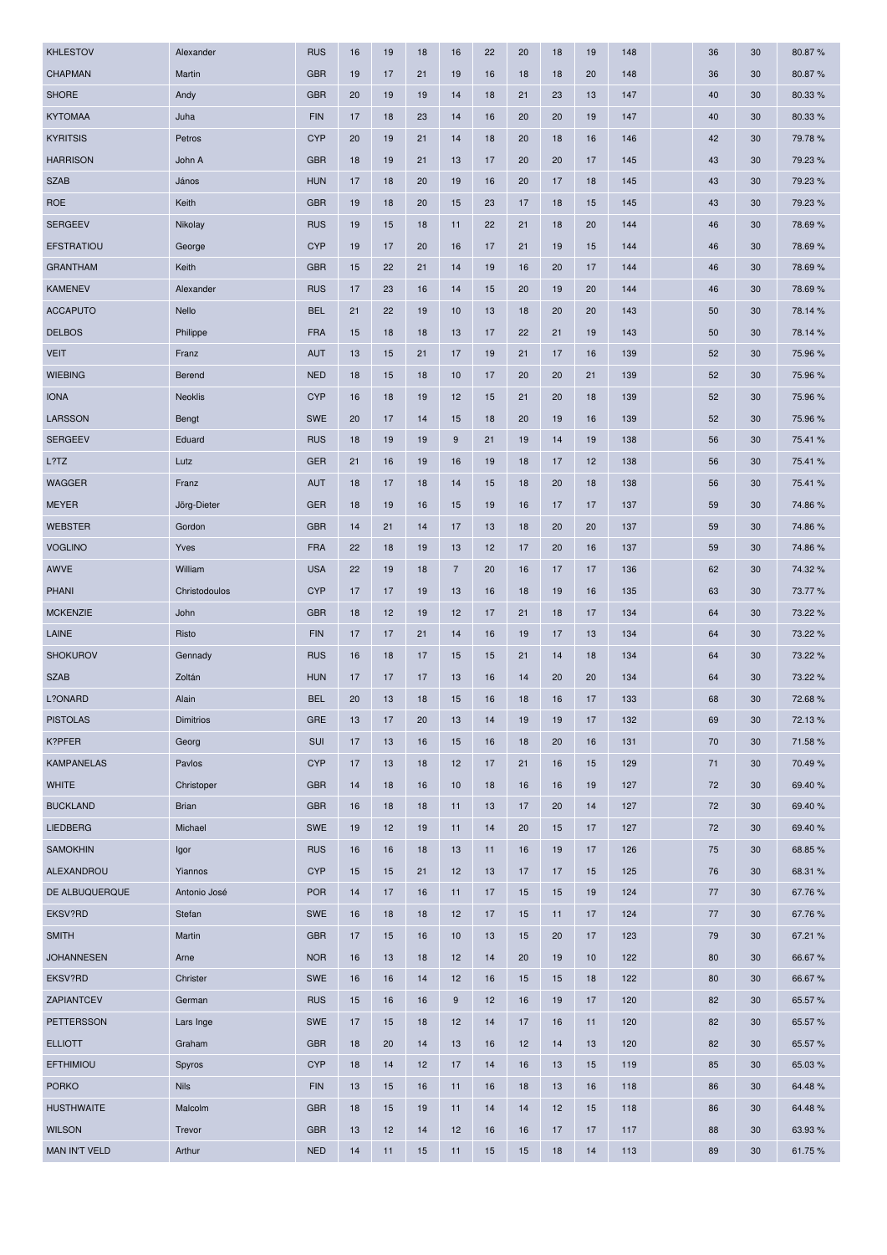| <b>KHLESTOV</b>      | Alexander        | <b>RUS</b> | 16 | 19 | 18 | 16               | 22 | 20 | 18 | 19 | 148 | 36 | 30 | 80.87%  |
|----------------------|------------------|------------|----|----|----|------------------|----|----|----|----|-----|----|----|---------|
| <b>CHAPMAN</b>       | Martin           | <b>GBR</b> | 19 | 17 | 21 | 19               | 16 | 18 | 18 | 20 | 148 | 36 | 30 | 80.87%  |
| <b>SHORE</b>         | Andy             | <b>GBR</b> | 20 | 19 | 19 | 14               | 18 | 21 | 23 | 13 | 147 | 40 | 30 | 80.33%  |
| <b>KYTOMAA</b>       | Juha             | <b>FIN</b> | 17 | 18 | 23 | 14               | 16 | 20 | 20 | 19 | 147 | 40 | 30 | 80.33 % |
| <b>KYRITSIS</b>      | Petros           | <b>CYP</b> | 20 | 19 | 21 | 14               | 18 | 20 | 18 | 16 | 146 | 42 | 30 | 79.78%  |
| <b>HARRISON</b>      | John A           | <b>GBR</b> | 18 | 19 | 21 | 13               | 17 | 20 | 20 | 17 | 145 | 43 | 30 | 79.23%  |
| <b>SZAB</b>          | János            | <b>HUN</b> | 17 | 18 | 20 | 19               | 16 | 20 | 17 | 18 | 145 | 43 | 30 | 79.23 % |
| <b>ROE</b>           | Keith            | <b>GBR</b> | 19 | 18 | 20 | 15               | 23 | 17 | 18 | 15 | 145 | 43 | 30 | 79.23 % |
| <b>SERGEEV</b>       | Nikolay          | <b>RUS</b> | 19 | 15 | 18 | 11               | 22 | 21 | 18 | 20 | 144 | 46 | 30 | 78.69%  |
| <b>EFSTRATIOU</b>    | George           | <b>CYP</b> | 19 | 17 | 20 | 16               | 17 | 21 | 19 | 15 | 144 | 46 | 30 | 78.69%  |
| <b>GRANTHAM</b>      | Keith            | <b>GBR</b> | 15 | 22 | 21 | 14               | 19 | 16 | 20 | 17 | 144 | 46 | 30 | 78.69%  |
| <b>KAMENEV</b>       | Alexander        | <b>RUS</b> | 17 | 23 | 16 | 14               | 15 | 20 | 19 | 20 | 144 | 46 | 30 | 78.69%  |
| <b>ACCAPUTO</b>      | Nello            | <b>BEL</b> | 21 | 22 | 19 | 10               | 13 | 18 | 20 | 20 | 143 | 50 | 30 | 78.14 % |
| <b>DELBOS</b>        | Philippe         | <b>FRA</b> | 15 | 18 | 18 | 13               | 17 | 22 | 21 | 19 | 143 | 50 | 30 | 78.14 % |
| <b>VEIT</b>          | Franz            | <b>AUT</b> | 13 | 15 | 21 | 17               | 19 | 21 | 17 | 16 | 139 | 52 | 30 | 75.96%  |
| <b>WIEBING</b>       | Berend           | <b>NED</b> | 18 | 15 | 18 | 10               | 17 | 20 | 20 | 21 | 139 | 52 | 30 | 75.96%  |
| <b>IONA</b>          | <b>Neoklis</b>   | <b>CYP</b> | 16 | 18 | 19 | 12               | 15 | 21 | 20 | 18 | 139 | 52 | 30 | 75.96 % |
| <b>LARSSON</b>       | Bengt            | <b>SWE</b> | 20 | 17 | 14 | 15               | 18 | 20 | 19 | 16 | 139 | 52 | 30 | 75.96 % |
| <b>SERGEEV</b>       | Eduard           | <b>RUS</b> | 18 | 19 | 19 | $9\,$            | 21 | 19 | 14 | 19 | 138 | 56 | 30 | 75.41 % |
| L?TZ                 | Lutz             | <b>GER</b> | 21 | 16 | 19 | 16               | 19 | 18 | 17 | 12 | 138 | 56 | 30 | 75.41 % |
| <b>WAGGER</b>        | Franz            | <b>AUT</b> | 18 | 17 | 18 | 14               | 15 | 18 | 20 | 18 | 138 | 56 | 30 | 75.41 % |
| <b>MEYER</b>         | Jörg-Dieter      | <b>GER</b> | 18 | 19 | 16 | 15               | 19 | 16 | 17 | 17 | 137 | 59 | 30 | 74.86%  |
| <b>WEBSTER</b>       | Gordon           | <b>GBR</b> | 14 | 21 | 14 | 17               | 13 | 18 | 20 | 20 | 137 | 59 | 30 | 74.86%  |
| <b>VOGLINO</b>       | Yves             | <b>FRA</b> | 22 | 18 | 19 | 13               | 12 | 17 | 20 | 16 | 137 | 59 | 30 | 74.86%  |
| AWVE                 | William          | <b>USA</b> | 22 | 19 | 18 | $\overline{7}$   | 20 | 16 | 17 | 17 | 136 | 62 | 30 | 74.32%  |
| <b>PHANI</b>         | Christodoulos    | <b>CYP</b> | 17 | 17 | 19 | 13               | 16 | 18 | 19 | 16 | 135 | 63 | 30 | 73.77%  |
| <b>MCKENZIE</b>      | John             | <b>GBR</b> | 18 | 12 | 19 | 12               | 17 | 21 | 18 | 17 | 134 | 64 | 30 | 73.22 % |
| LAINE                | Risto            | <b>FIN</b> | 17 | 17 | 21 | 14               | 16 | 19 | 17 | 13 | 134 | 64 | 30 | 73.22 % |
| <b>SHOKUROV</b>      | Gennady          | <b>RUS</b> | 16 | 18 | 17 | 15               | 15 | 21 | 14 | 18 | 134 | 64 | 30 | 73.22 % |
| <b>SZAB</b>          | Zoltán           | <b>HUN</b> | 17 | 17 | 17 | 13               | 16 | 14 | 20 | 20 | 134 | 64 | 30 | 73.22 % |
| L?ONARD              | Alain            | <b>BEL</b> | 20 | 13 | 18 | 15               | 16 | 18 | 16 | 17 | 133 | 68 | 30 | 72.68%  |
| <b>PISTOLAS</b>      | <b>Dimitrios</b> | <b>GRE</b> | 13 | 17 | 20 | 13               | 14 | 19 | 19 | 17 | 132 | 69 | 30 | 72.13%  |
| K?PFER               | Georg            | <b>SUI</b> | 17 | 13 | 16 | 15               | 16 | 18 | 20 | 16 | 131 | 70 | 30 | 71.58%  |
| <b>KAMPANELAS</b>    | Pavlos           | <b>CYP</b> | 17 | 13 | 18 | 12               | 17 | 21 | 16 | 15 | 129 | 71 | 30 | 70.49%  |
| <b>WHITE</b>         | Christoper       | <b>GBR</b> | 14 | 18 | 16 | 10               | 18 | 16 | 16 | 19 | 127 | 72 | 30 | 69.40%  |
| <b>BUCKLAND</b>      | <b>Brian</b>     | <b>GBR</b> | 16 | 18 | 18 | 11               | 13 | 17 | 20 | 14 | 127 | 72 | 30 | 69.40%  |
| <b>LIEDBERG</b>      | Michael          | SWE        | 19 | 12 | 19 | 11               | 14 | 20 | 15 | 17 | 127 | 72 | 30 | 69.40%  |
| <b>SAMOKHIN</b>      | Igor             | <b>RUS</b> | 16 | 16 | 18 | 13               | 11 | 16 | 19 | 17 | 126 | 75 | 30 | 68.85%  |
| ALEXANDROU           | Yiannos          | <b>CYP</b> | 15 | 15 | 21 | 12               | 13 | 17 | 17 | 15 | 125 | 76 | 30 | 68.31 % |
| DE ALBUQUERQUE       | Antonio José     | <b>POR</b> | 14 | 17 | 16 | 11               | 17 | 15 | 15 | 19 | 124 | 77 | 30 | 67.76 % |
| EKSV?RD              | Stefan           | <b>SWE</b> | 16 | 18 | 18 | 12               | 17 | 15 | 11 | 17 | 124 | 77 | 30 | 67.76%  |
| <b>SMITH</b>         | Martin           | <b>GBR</b> | 17 | 15 | 16 | 10               | 13 | 15 | 20 | 17 | 123 | 79 | 30 | 67.21 % |
| <b>JOHANNESEN</b>    | Arne             | <b>NOR</b> | 16 | 13 | 18 | 12               | 14 | 20 | 19 | 10 | 122 | 80 | 30 | 66.67%  |
| EKSV?RD              | Christer         | SWE        | 16 | 16 | 14 | 12               | 16 | 15 | 15 | 18 | 122 | 80 | 30 | 66.67%  |
| ZAPIANTCEV           | German           | <b>RUS</b> | 15 | 16 | 16 | $\boldsymbol{9}$ | 12 | 16 | 19 | 17 | 120 | 82 | 30 | 65.57 % |
| <b>PETTERSSON</b>    | Lars Inge        | <b>SWE</b> | 17 | 15 | 18 | 12               | 14 | 17 | 16 | 11 | 120 | 82 | 30 | 65.57%  |
| <b>ELLIOTT</b>       | Graham           | <b>GBR</b> | 18 | 20 | 14 | 13               | 16 | 12 | 14 | 13 | 120 | 82 | 30 | 65.57%  |
| <b>EFTHIMIOU</b>     | Spyros           | <b>CYP</b> | 18 | 14 | 12 | 17               | 14 | 16 | 13 | 15 | 119 | 85 | 30 | 65.03%  |
| <b>PORKO</b>         | <b>Nils</b>      | <b>FIN</b> | 13 | 15 | 16 | 11               | 16 | 18 | 13 | 16 | 118 | 86 | 30 | 64.48%  |
| <b>HUSTHWAITE</b>    | Malcolm          | <b>GBR</b> | 18 | 15 | 19 | 11               | 14 | 14 | 12 | 15 | 118 | 86 | 30 | 64.48%  |
| <b>WILSON</b>        | Trevor           | <b>GBR</b> | 13 | 12 | 14 | 12               | 16 | 16 | 17 | 17 | 117 | 88 | 30 | 63.93 % |
| <b>MAN IN'T VELD</b> | Arthur           | <b>NED</b> | 14 | 11 | 15 | 11               | 15 | 15 | 18 | 14 | 113 | 89 | 30 | 61.75%  |
|                      |                  |            |    |    |    |                  |    |    |    |    |     |    |    |         |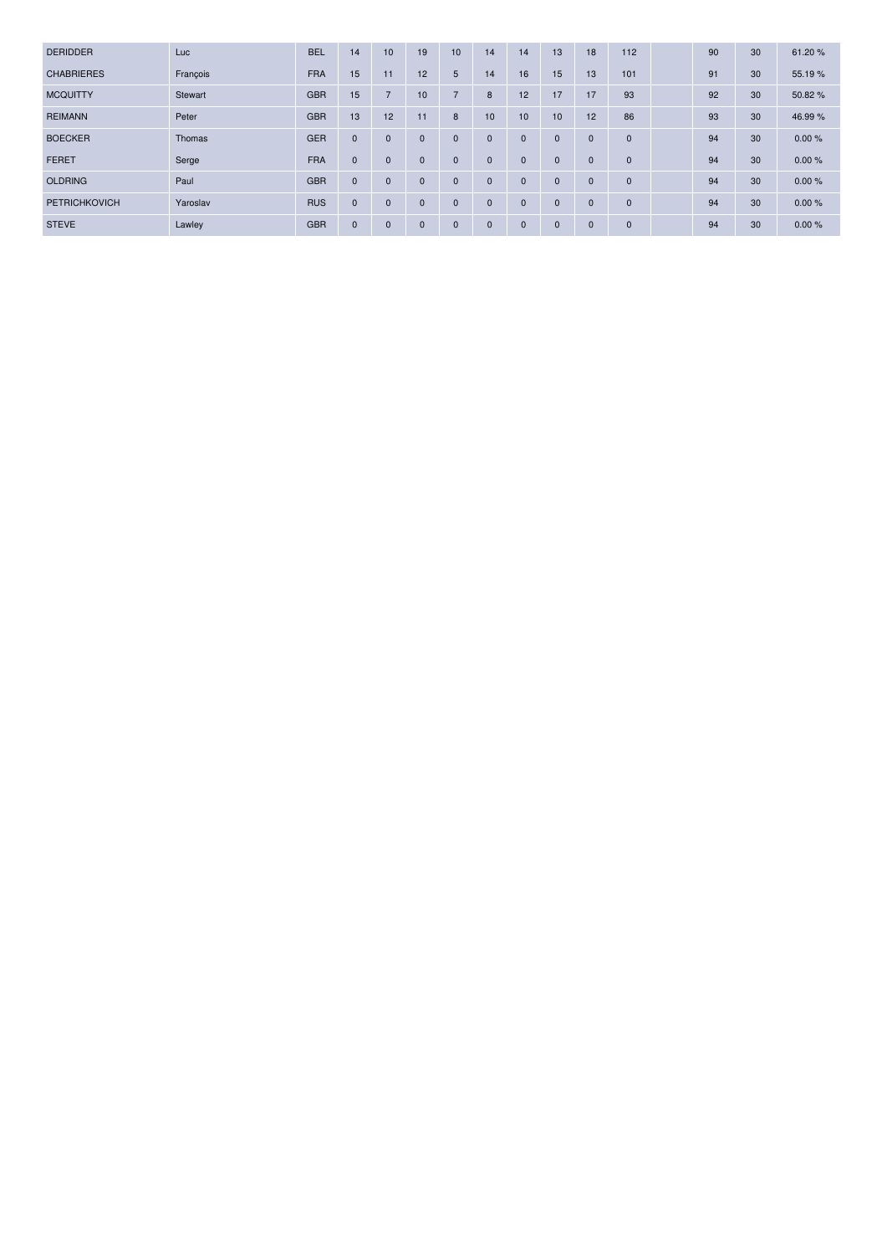| <b>DERIDDER</b>      | Luc      | <b>BEL</b> | 14           | 10             | 19           | 10             | 14          | 14           | 13           | 18           | 112          | 90 | 30 | 61.20%  |
|----------------------|----------|------------|--------------|----------------|--------------|----------------|-------------|--------------|--------------|--------------|--------------|----|----|---------|
| <b>CHABRIERES</b>    | François | <b>FRA</b> | 15           | 11             | 12           | 5              | 14          | 16           | 15           | 13           | 101          | 91 | 30 | 55.19 % |
| <b>MCQUITTY</b>      | Stewart  | <b>GBR</b> | 15           | $\overline{7}$ | 10           | $\overline{7}$ | 8           | 12           | 17           | 17           | 93           | 92 | 30 | 50.82%  |
| <b>REIMANN</b>       | Peter    | <b>GBR</b> | 13           | 12             | 11           | 8              | 10          | 10           | 10           | 12           | 86           | 93 | 30 | 46.99%  |
| <b>BOECKER</b>       | Thomas   | <b>GER</b> | $\mathbf{0}$ | $\mathbf 0$    | $\mathbf{0}$ | $\mathbf{0}$   | $\mathbf 0$ | $\mathbf 0$  | $\mathbf{0}$ | $\mathbf{0}$ | $\mathbf{0}$ | 94 | 30 | 0.00%   |
| <b>FERET</b>         | Serge    | <b>FRA</b> | $\mathbf{0}$ | $\mathbf{0}$   | $\mathbf{0}$ | $\mathbf{0}$   | 0           | $\Omega$     | $\mathbf{0}$ | $\mathbf 0$  | $\mathbf{0}$ | 94 | 30 | 0.00%   |
| <b>OLDRING</b>       | Paul     | <b>GBR</b> | $\mathbf{0}$ | $\mathbf{0}$   | $\mathbf{0}$ | $\mathbf{0}$   | $\mathbf 0$ | $\mathbf 0$  | $\mathbf{0}$ | $\mathbf{0}$ | $\mathbf{0}$ | 94 | 30 | 0.00%   |
| <b>PETRICHKOVICH</b> | Yaroslav | <b>RUS</b> | $\mathbf{0}$ | $\mathbf 0$    | $\mathbf{0}$ | $\mathbf{0}$   | $\mathbf 0$ | $\mathbf 0$  | $\mathbf{0}$ | $\mathbf{0}$ | $\mathbf 0$  | 94 | 30 | 0.00%   |
| <b>STEVE</b>         | Lawley   | <b>GBR</b> | $\mathbf 0$  | $\mathbf 0$    | $\mathbf{0}$ | $\mathbf 0$    | $\mathbf 0$ | $\mathbf{0}$ | $\mathbf 0$  | $\mathbf{0}$ | $\mathbf 0$  | 94 | 30 | 0.00%   |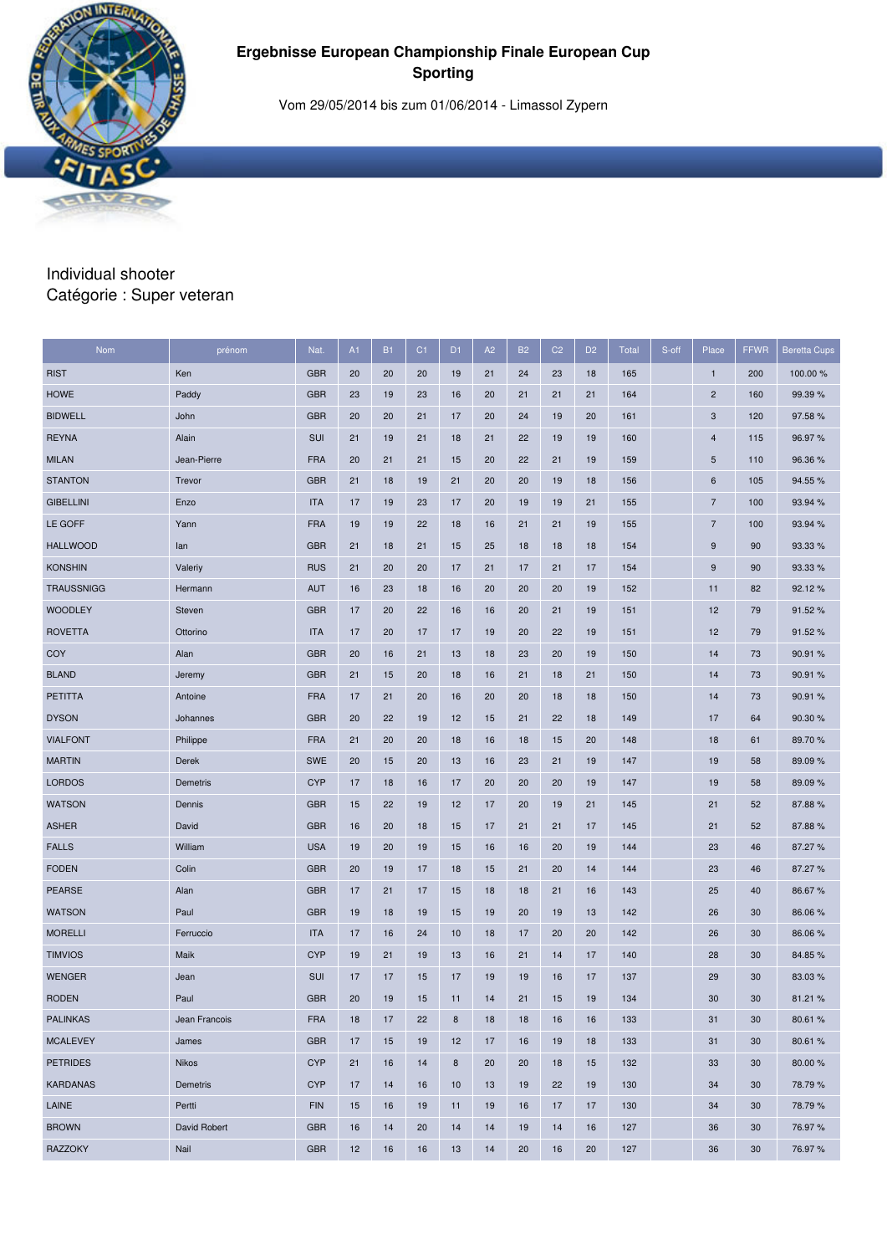Vom 29/05/2014 bis zum 01/06/2014 - Limassol Zypern

#### Individual shooter Catégorie : Super veteran

| Nom               | prénom          | Nat.       | A1 | <b>B1</b> | C <sub>1</sub> | D <sub>1</sub> | A2 | <b>B2</b> | C <sub>2</sub> | D <sub>2</sub> | <b>Total</b> | S-off | Place                     | <b>FFWR</b> | <b>Beretta Cups</b> |
|-------------------|-----------------|------------|----|-----------|----------------|----------------|----|-----------|----------------|----------------|--------------|-------|---------------------------|-------------|---------------------|
| <b>RIST</b>       | Ken             | <b>GBR</b> | 20 | 20        | 20             | 19             | 21 | 24        | 23             | 18             | 165          |       | $\mathbf{1}$              | 200         | 100.00 %            |
| <b>HOWE</b>       | Paddy           | <b>GBR</b> | 23 | 19        | 23             | 16             | 20 | 21        | 21             | 21             | 164          |       | $\sqrt{2}$                | 160         | 99.39 %             |
| <b>BIDWELL</b>    | John            | <b>GBR</b> | 20 | 20        | 21             | 17             | 20 | 24        | 19             | 20             | 161          |       | $\ensuremath{\mathsf{3}}$ | 120         | 97.58%              |
| <b>REYNA</b>      | Alain           | SUI        | 21 | 19        | 21             | 18             | 21 | 22        | 19             | 19             | 160          |       | 4                         | 115         | 96.97%              |
| <b>MILAN</b>      | Jean-Pierre     | <b>FRA</b> | 20 | 21        | 21             | 15             | 20 | 22        | 21             | 19             | 159          |       | $\sqrt{5}$                | 110         | 96.36%              |
| <b>STANTON</b>    | Trevor          | <b>GBR</b> | 21 | 18        | 19             | 21             | 20 | 20        | 19             | 18             | 156          |       | 6                         | 105         | 94.55 %             |
| <b>GIBELLINI</b>  | Enzo            | <b>ITA</b> | 17 | 19        | 23             | 17             | 20 | 19        | 19             | 21             | 155          |       | $\overline{7}$            | 100         | 93.94 %             |
| LE GOFF           | Yann            | <b>FRA</b> | 19 | 19        | 22             | 18             | 16 | 21        | 21             | 19             | 155          |       | $\overline{7}$            | 100         | 93.94 %             |
| <b>HALLWOOD</b>   | lan             | <b>GBR</b> | 21 | 18        | 21             | 15             | 25 | 18        | 18             | 18             | 154          |       | 9                         | 90          | 93.33 %             |
| <b>KONSHIN</b>    | Valeriy         | <b>RUS</b> | 21 | 20        | 20             | 17             | 21 | 17        | 21             | 17             | 154          |       | $\boldsymbol{9}$          | 90          | 93.33 %             |
| <b>TRAUSSNIGG</b> | Hermann         | <b>AUT</b> | 16 | 23        | 18             | 16             | 20 | 20        | 20             | 19             | 152          |       | 11                        | 82          | 92.12%              |
| <b>WOODLEY</b>    | Steven          | <b>GBR</b> | 17 | 20        | 22             | 16             | 16 | 20        | 21             | 19             | 151          |       | 12                        | 79          | 91.52%              |
| <b>ROVETTA</b>    | Ottorino        | <b>ITA</b> | 17 | 20        | 17             | 17             | 19 | 20        | 22             | 19             | 151          |       | 12                        | 79          | 91.52%              |
| COY               | Alan            | <b>GBR</b> | 20 | 16        | 21             | 13             | 18 | 23        | 20             | 19             | 150          |       | 14                        | 73          | 90.91 %             |
| <b>BLAND</b>      | Jeremy          | <b>GBR</b> | 21 | 15        | 20             | 18             | 16 | 21        | 18             | 21             | 150          |       | 14                        | 73          | 90.91 %             |
| <b>PETITTA</b>    | Antoine         | <b>FRA</b> | 17 | 21        | 20             | 16             | 20 | 20        | 18             | 18             | 150          |       | 14                        | 73          | 90.91 %             |
| <b>DYSON</b>      | Johannes        | <b>GBR</b> | 20 | 22        | 19             | 12             | 15 | 21        | 22             | 18             | 149          |       | 17                        | 64          | 90.30%              |
| <b>VIALFONT</b>   | Philippe        | <b>FRA</b> | 21 | 20        | 20             | 18             | 16 | 18        | 15             | 20             | 148          |       | 18                        | 61          | 89.70%              |
| <b>MARTIN</b>     | Derek           | <b>SWE</b> | 20 | 15        | 20             | 13             | 16 | 23        | 21             | 19             | 147          |       | 19                        | 58          | 89.09%              |
| <b>LORDOS</b>     | Demetris        | <b>CYP</b> | 17 | 18        | 16             | 17             | 20 | 20        | 20             | 19             | 147          |       | 19                        | 58          | 89.09%              |
| <b>WATSON</b>     | Dennis          | <b>GBR</b> | 15 | 22        | 19             | 12             | 17 | 20        | 19             | 21             | 145          |       | 21                        | 52          | 87.88%              |
| <b>ASHER</b>      | David           | <b>GBR</b> | 16 | 20        | 18             | 15             | 17 | 21        | 21             | 17             | 145          |       | 21                        | 52          | 87.88%              |
| <b>FALLS</b>      | William         | <b>USA</b> | 19 | 20        | 19             | 15             | 16 | 16        | 20             | 19             | 144          |       | 23                        | 46          | 87.27 %             |
| <b>FODEN</b>      | Colin           | <b>GBR</b> | 20 | 19        | 17             | 18             | 15 | 21        | 20             | 14             | 144          |       | 23                        | 46          | 87.27%              |
| <b>PEARSE</b>     | Alan            | <b>GBR</b> | 17 | 21        | 17             | 15             | 18 | 18        | 21             | 16             | 143          |       | 25                        | 40          | 86.67%              |
| <b>WATSON</b>     | Paul            | <b>GBR</b> | 19 | 18        | 19             | 15             | 19 | 20        | 19             | 13             | 142          |       | 26                        | 30          | 86.06%              |
| <b>MORELLI</b>    | Ferruccio       | <b>ITA</b> | 17 | 16        | 24             | 10             | 18 | 17        | 20             | 20             | 142          |       | 26                        | 30          | 86.06%              |
| <b>TIMVIOS</b>    | Maik            | <b>CYP</b> | 19 | 21        | 19             | 13             | 16 | 21        | 14             | 17             | 140          |       | 28                        | 30          | 84.85%              |
| <b>WENGER</b>     | Jean            | <b>SUI</b> | 17 | 17        | 15             | 17             | 19 | 19        | 16             | 17             | 137          |       | 29                        | 30          | 83.03 %             |
| <b>RODEN</b>      | Paul            | <b>GBR</b> | 20 | 19        | 15             | 11             | 14 | 21        | 15             | 19             | 134          |       | 30                        | 30          | 81.21%              |
| <b>PALINKAS</b>   | Jean Francois   | <b>FRA</b> | 18 | 17        | 22             | $\bf8$         | 18 | 18        | 16             | 16             | 133          |       | 31                        | 30          | 80.61%              |
| <b>MCALEVEY</b>   | James           | <b>GBR</b> | 17 | 15        | 19             | 12             | 17 | 16        | 19             | 18             | 133          |       | 31                        | 30          | 80.61%              |
| <b>PETRIDES</b>   | Nikos           | <b>CYP</b> | 21 | 16        | 14             | $\bf8$         | 20 | 20        | 18             | 15             | 132          |       | 33                        | 30          | 80.00%              |
| <b>KARDANAS</b>   | <b>Demetris</b> | <b>CYP</b> | 17 | 14        | 16             | 10             | 13 | 19        | 22             | 19             | 130          |       | 34                        | 30          | 78.79%              |
| LAINE             | Pertti          | <b>FIN</b> | 15 | 16        | 19             | 11             | 19 | 16        | 17             | 17             | 130          |       | 34                        | 30          | 78.79%              |
| <b>BROWN</b>      | David Robert    | <b>GBR</b> | 16 | 14        | 20             | 14             | 14 | 19        | 14             | 16             | 127          |       | 36                        | 30          | 76.97%              |
| <b>RAZZOKY</b>    | Nail            | <b>GBR</b> | 12 | 16        | 16             | 13             | 14 | 20        | 16             | 20             | 127          |       | 36                        | 30          | 76.97%              |